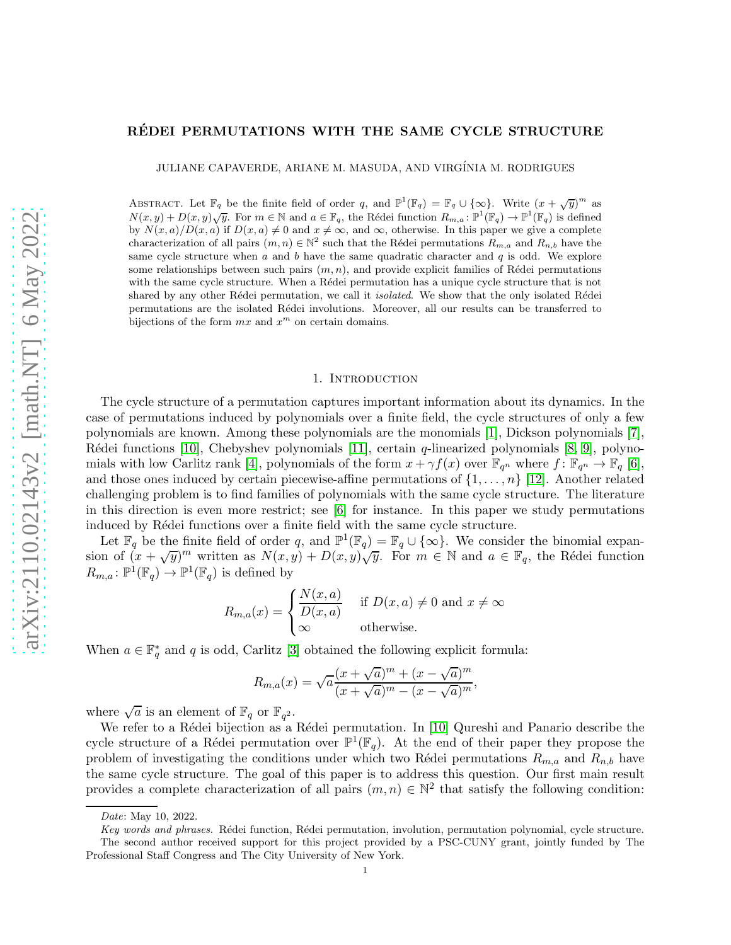# RÉDEI PERMUTATIONS WITH THE SAME CYCLE STRUCTURE

JULIANE CAPAVERDE, ARIANE M. MASUDA, AND VIRG´INIA M. RODRIGUES

ABSTRACT. Let  $\mathbb{F}_q$  be the finite field of order q, and  $\mathbb{P}^1(\mathbb{F}_q) = \mathbb{F}_q \cup \{\infty\}$ . Write  $(x + \sqrt{y})^m$  as  $N(x, y) + D(x, y)\sqrt{y}$ . For  $m \in \mathbb{N}$  and  $a \in \mathbb{F}_q$ , the Rédei function  $R_{m,a} : \mathbb{P}^1(\mathbb{F}_q) \to \mathbb{P}^1(\mathbb{F}_q)$  is defined by  $N(x, a)/D(x, a)$  if  $D(x, a) \neq 0$  and  $x \neq \infty$ , and  $\infty$ , otherwise. In this paper we give a complete characterization of all pairs  $(m, n) \in \mathbb{N}^2$  such that the Rédei permutations  $R_{m,a}$  and  $R_{n,b}$  have the same cycle structure when  $a$  and  $b$  have the same quadratic character and  $q$  is odd. We explore some relationships between such pairs  $(m, n)$ , and provide explicit families of Rédei permutations with the same cycle structure. When a Rédei permutation has a unique cycle structure that is not shared by any other Rédei permutation, we call it *isolated*. We show that the only isolated Rédei permutations are the isolated R´edei involutions. Moreover, all our results can be transferred to bijections of the form  $mx$  and  $x^m$  on certain domains.

#### 1. INTRODUCTION

The cycle structure of a permutation captures important information about its dynamics. In the case of permutations induced by polynomials over a finite field, the cycle structures of only a few polynomials are known. Among these polynomials are the monomials [\[1\]](#page-16-0), Dickson polynomials [\[7\]](#page-16-1), Rédei functions [\[10\]](#page-16-2), Chebyshev polynomials [\[11\]](#page-16-3), certain  $q$ -linearized polynomials [\[8,](#page-16-4) [9\]](#page-16-5), polyno-mials with low Carlitz rank [\[4\]](#page-16-6), polynomials of the form  $x + \gamma f(x)$  over  $\mathbb{F}_{q^n}$  where  $f: \mathbb{F}_{q^n} \to \mathbb{F}_q$  [\[6\]](#page-16-7), and those ones induced by certain piecewise-affine permutations of  $\{1, \ldots, n\}$  [\[12\]](#page-16-8). Another related challenging problem is to find families of polynomials with the same cycle structure. The literature in this direction is even more restrict; see [\[6\]](#page-16-7) for instance. In this paper we study permutations induced by Rédei functions over a finite field with the same cycle structure.

Let  $\mathbb{F}_q$  be the finite field of order q, and  $\mathbb{P}^1(\mathbb{F}_q) = \mathbb{F}_q \cup \{\infty\}$ . We consider the binomial expansion of  $(x + \sqrt{y})^m$  written as  $N(x, y) + D(x, y)\sqrt{y}$ . For  $m \in \mathbb{N}$  and  $a \in \mathbb{F}_q$ , the Rédei function  $R_{m,a} \colon \mathbb{P}^1(\mathbb{F}_q) \to \mathbb{P}^1(\mathbb{F}_q)$  is defined by

$$
R_{m,a}(x) = \begin{cases} \frac{N(x,a)}{D(x,a)} & \text{if } D(x,a) \neq 0 \text{ and } x \neq \infty\\ \infty & \text{otherwise.} \end{cases}
$$

When  $a \in \mathbb{F}_q^*$  and q is odd, Carlitz [\[3\]](#page-16-9) obtained the following explicit formula:

$$
R_{m,a}(x) = \sqrt{a} \frac{(x + \sqrt{a})^m + (x - \sqrt{a})^m}{(x + \sqrt{a})^m - (x - \sqrt{a})^m},
$$

where  $\sqrt{a}$  is an element of  $\mathbb{F}_q$  or  $\mathbb{F}_{q^2}$ .

We refer to a Rédei bijection as a Rédei permutation. In [\[10\]](#page-16-2) Qureshi and Panario describe the cycle structure of a Rédei permutation over  $\mathbb{P}^1(\mathbb{F}_q)$ . At the end of their paper they propose the problem of investigating the conditions under which two Rédei permutations  $R_{m,a}$  and  $R_{n,b}$  have the same cycle structure. The goal of this paper is to address this question. Our first main result provides a complete characterization of all pairs  $(m, n) \in \mathbb{N}^2$  that satisfy the following condition:

Date: May 10, 2022.

Key words and phrases. Rédei function, Rédei permutation, involution, permutation polynomial, cycle structure. The second author received support for this project provided by a PSC-CUNY grant, jointly funded by The Professional Staff Congress and The City University of New York.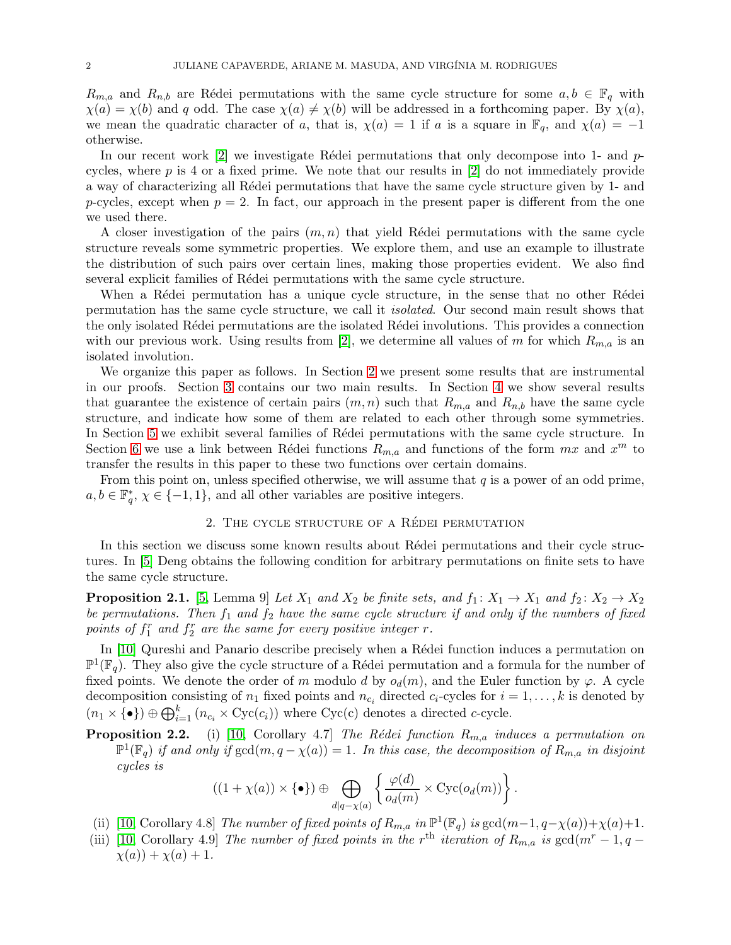$R_{m,a}$  and  $R_{n,b}$  are Rédei permutations with the same cycle structure for some  $a, b \in \mathbb{F}_q$  with  $\chi(a) = \chi(b)$  and q odd. The case  $\chi(a) \neq \chi(b)$  will be addressed in a forthcoming paper. By  $\chi(a)$ , we mean the quadratic character of a, that is,  $\chi(a) = 1$  if a is a square in  $\mathbb{F}_q$ , and  $\chi(a) = -1$ otherwise.

In our recent work [\[2\]](#page-16-10) we investigate Rédei permutations that only decompose into 1- and  $p$ cycles, where  $p$  is 4 or a fixed prime. We note that our results in  $[2]$  do not immediately provide a way of characterizing all Rédei permutations that have the same cycle structure given by 1- and p-cycles, except when  $p = 2$ . In fact, our approach in the present paper is different from the one we used there.

A closer investigation of the pairs  $(m, n)$  that yield Rédei permutations with the same cycle structure reveals some symmetric properties. We explore them, and use an example to illustrate the distribution of such pairs over certain lines, making those properties evident. We also find several explicit families of Rédei permutations with the same cycle structure.

When a Rédei permutation has a unique cycle structure, in the sense that no other Rédei permutation has the same cycle structure, we call it *isolated*. Our second main result shows that the only isolated Rédei permutations are the isolated Rédei involutions. This provides a connection with our previous work. Using results from [\[2\]](#page-16-10), we determine all values of m for which  $R_{m,a}$  is an isolated involution.

We organize this paper as follows. In Section [2](#page-1-0) we present some results that are instrumental in our proofs. Section [3](#page-2-0) contains our two main results. In Section [4](#page-6-0) we show several results that guarantee the existence of certain pairs  $(m, n)$  such that  $R_{m,a}$  and  $R_{n,b}$  have the same cycle structure, and indicate how some of them are related to each other through some symmetries. In Section [5](#page-9-0) we exhibit several families of Rédei permutations with the same cycle structure. In Section [6](#page-15-0) we use a link between Rédei functions  $R_{m,a}$  and functions of the form  $mx$  and  $x^m$  to transfer the results in this paper to these two functions over certain domains.

<span id="page-1-0"></span>From this point on, unless specified otherwise, we will assume that  $q$  is a power of an odd prime,  $a, b \in \mathbb{F}_q^*, \ \chi \in \{-1, 1\}$ , and all other variables are positive integers.

#### 2. THE CYCLE STRUCTURE OF A RÉDEI PERMUTATION

In this section we discuss some known results about Rédei permutations and their cycle structures. In [\[5\]](#page-16-11) Deng obtains the following condition for arbitrary permutations on finite sets to have the same cycle structure.

**Proposition 2.1.** [\[5,](#page-16-11) Lemma 9] Let  $X_1$  and  $X_2$  be finite sets, and  $f_1: X_1 \to X_1$  and  $f_2: X_2 \to X_2$ *be permutations. Then*  $f_1$  *and*  $f_2$  *have the same cycle structure if and only if the numbers of fixed* points of  $f_1^r$  and  $f_2^r$  are the same for every positive integer  $r$ .

In [\[10\]](#page-16-2) Qureshi and Panario describe precisely when a Rédei function induces a permutation on  $\mathbb{P}^1(\mathbb{F}_q)$ . They also give the cycle structure of a Rédei permutation and a formula for the number of fixed points. We denote the order of m modulo d by  $o_d(m)$ , and the Euler function by  $\varphi$ . A cycle decomposition consisting of  $n_1$  fixed points and  $n_{c_i}$  directed  $c_i$ -cycles for  $i = 1, ..., k$  is denoted by  $(n_1 \times {\{\bullet}\}) \oplus \bigoplus_{i=1}^k (n_{c_i} \times \text{Cyc}(c_i))$  where  $\text{Cyc}(c)$  denotes a directed c-cycle.

**Proposition 2.2.** (i) [\[10,](#page-16-2) Corollary 4.7] *The Rédei function*  $R_{m,a}$  *induces* a permutation on  $\mathbb{P}^1(\mathbb{F}_q)$  *if and only if*  $gcd(m, q - \chi(a)) = 1$ *. In this case, the decomposition of*  $R_{m,a}$  *in disjoint cycles is*

$$
((1+\chi(a))\times\{\bullet\})\oplus\bigoplus_{d|q-\chi(a)}\left\{\frac{\varphi(d)}{o_d(m)}\times \operatorname{Cyc}(o_d(m))\right\}.
$$

(ii) [\[10,](#page-16-2) Corollary 4.8] *The number of fixed points of*  $R_{m,a}$  *in*  $\mathbb{P}^1(\mathbb{F}_q)$  *is*  $\gcd(m-1, q-\chi(a))+\chi(a)+1$ *.* 

(iii) [\[10,](#page-16-2) Corollary 4.9] *The number of fixed points in the*  $r<sup>th</sup>$  *iteration of*  $R_{m,a}$  *is* gcd( $m<sup>r</sup> - 1, q \chi(a)$  +  $\chi(a)$  + 1.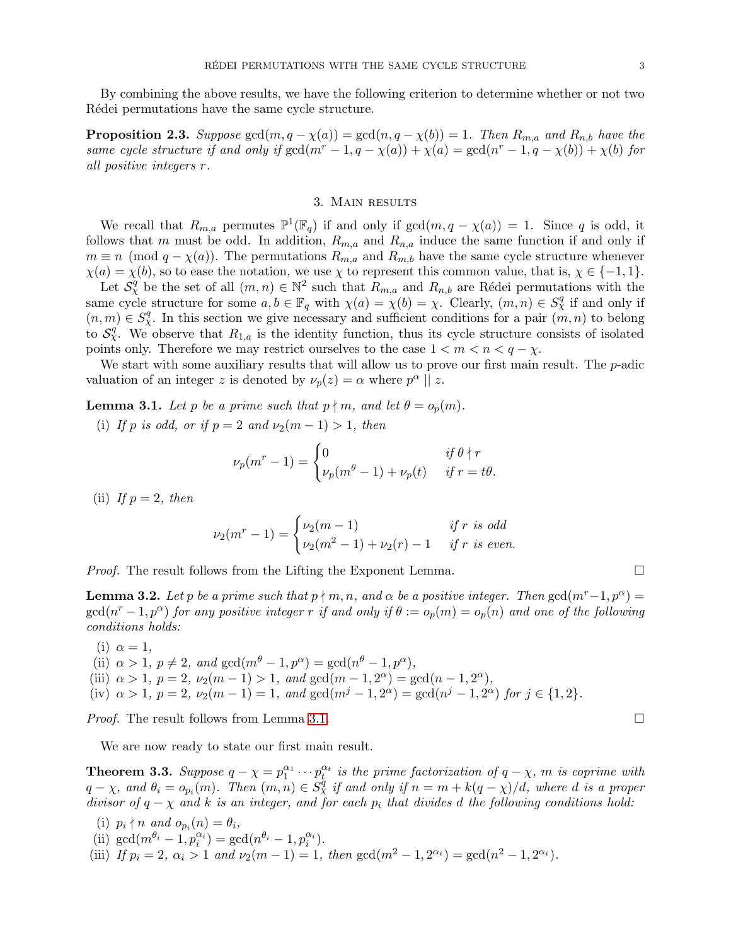By combining the above results, we have the following criterion to determine whether or not two Rédei permutations have the same cycle structure.

**Proposition 2.3.** *Suppose*  $gcd(m, q - \chi(a)) = gcd(n, q - \chi(b)) = 1$ *. Then*  $R_{m,a}$  *and*  $R_{n,b}$  *have the same cycle structure if and only if*  $gcd(m^r - 1, q - \chi(a)) + \chi(a) = gcd(n^r - 1, q - \chi(b)) + \chi(b)$  *for all positive integers* r*.*

## 3. Main results

<span id="page-2-0"></span>We recall that  $R_{m,a}$  permutes  $\mathbb{P}^1(\mathbb{F}_q)$  if and only if  $gcd(m, q - \chi(a)) = 1$ . Since q is odd, it follows that m must be odd. In addition,  $R_{m,a}$  and  $R_{n,a}$  induce the same function if and only if  $m \equiv n \pmod{q - \chi(a)}$ . The permutations  $R_{m,a}$  and  $R_{m,b}$  have the same cycle structure whenever  $\chi(a) = \chi(b)$ , so to ease the notation, we use  $\chi$  to represent this common value, that is,  $\chi \in \{-1, 1\}$ . Let  $S_{\chi}^q$  be the set of all  $(m, n) \in \mathbb{N}^2$  such that  $R_{m,a}$  and  $R_{n,b}$  are Rédei permutations with the

same cycle structure for some  $a, b \in \mathbb{F}_q$  with  $\chi(a) = \chi(b) = \chi$ . Clearly,  $(m, n) \in S^q_\chi$  if and only if  $(n, m) \in S_{\chi}^q$ . In this section we give necessary and sufficient conditions for a pair  $(m, n)$  to belong to  $S_{\chi}^{q'}$ . We observe that  $R_{1,a}$  is the identity function, thus its cycle structure consists of isolated points only. Therefore we may restrict ourselves to the case  $1 < m < n < q - \chi$ .

We start with some auxiliary results that will allow us to prove our first main result. The  $p$ -adic valuation of an integer z is denoted by  $\nu_p(z) = \alpha$  where  $p^{\alpha} \parallel z$ .

<span id="page-2-1"></span>**Lemma 3.1.** *Let* p *be a prime such that*  $p \nmid m$ *, and let*  $\theta = o_p(m)$ *.* 

(i) *If* p *is odd, or if*  $p = 2$  *and*  $\nu_2(m - 1) > 1$ *, then* 

$$
\nu_p(m^r - 1) = \begin{cases} 0 & \text{if } \theta \nmid r \\ \nu_p(m^{\theta} - 1) + \nu_p(t) & \text{if } r = t\theta. \end{cases}
$$

(ii) If  $p = 2$ , then

$$
\nu_2(m^r - 1) = \begin{cases} \nu_2(m - 1) & \text{if } r \text{ is odd} \\ \nu_2(m^2 - 1) + \nu_2(r) - 1 & \text{if } r \text{ is even.} \end{cases}
$$

*Proof.* The result follows from the Lifting the Exponent Lemma.

<span id="page-2-2"></span>**Lemma 3.2.** Let p be a prime such that  $p \nmid m, n$ , and  $\alpha$  be a positive integer. Then  $gcd(m^r-1, p^{\alpha}) =$  $gcd(n^r-1, p^{\alpha})$  *for any positive integer* r *if and only if*  $\theta := o_p(m) = o_p(n)$  *and one of the following conditions holds:*

- $(i)$   $\alpha = 1$ ,
- (ii)  $\alpha > 1$ ,  $p \neq 2$ , and  $gcd(m^{\theta} 1, p^{\alpha}) = gcd(n^{\theta} 1, p^{\alpha})$ , (iii)  $\alpha > 1$ ,  $p = 2$ ,  $\nu_2(m - 1) > 1$ , and  $\gcd(m - 1, 2^{\alpha}) = \gcd(n - 1, 2^{\alpha})$ , (iv)  $\alpha > 1$ ,  $p = 2$ ,  $\nu_2(m - 1) = 1$ , and  $\gcd(m^j - 1, 2^{\alpha}) = \gcd(n^j - 1, 2^{\alpha})$  for  $j \in \{1, 2\}$ .

*Proof.* The result follows from Lemma [3.1.](#page-2-1) □

We are now ready to state our first main result.

<span id="page-2-3"></span>**Theorem 3.3.** Suppose  $q - \chi = p_1^{\alpha_1} \cdots p_t^{\alpha_t}$  is the prime factorization of  $q - \chi$ , m is coprime with  $q - \chi$ , and  $\theta_i = o_{p_i}(m)$ . Then  $(m, n) \in S^q_\chi$  if and only if  $n = m + k(q - \chi)/d$ , where d is a proper *divisor of*  $q - \chi$  *and* k *is an integer, and for each*  $p_i$  *that divides* d *the following conditions hold:* 

(i)  $p_i \nmid n$  and  $o_{p_i}(n) = \theta_i$ , (ii)  $\gcd(m^{\theta_i} - 1, p_i^{\alpha_i}) = \gcd(n^{\theta_i} - 1, p_i^{\alpha_i}).$ (iii) *If*  $p_i = 2$ ,  $\alpha_i > 1$  *and*  $\nu_2(m-1) = 1$ , *then*  $\gcd(m^2 - 1, 2^{\alpha_i}) = \gcd(n^2 - 1, 2^{\alpha_i})$ .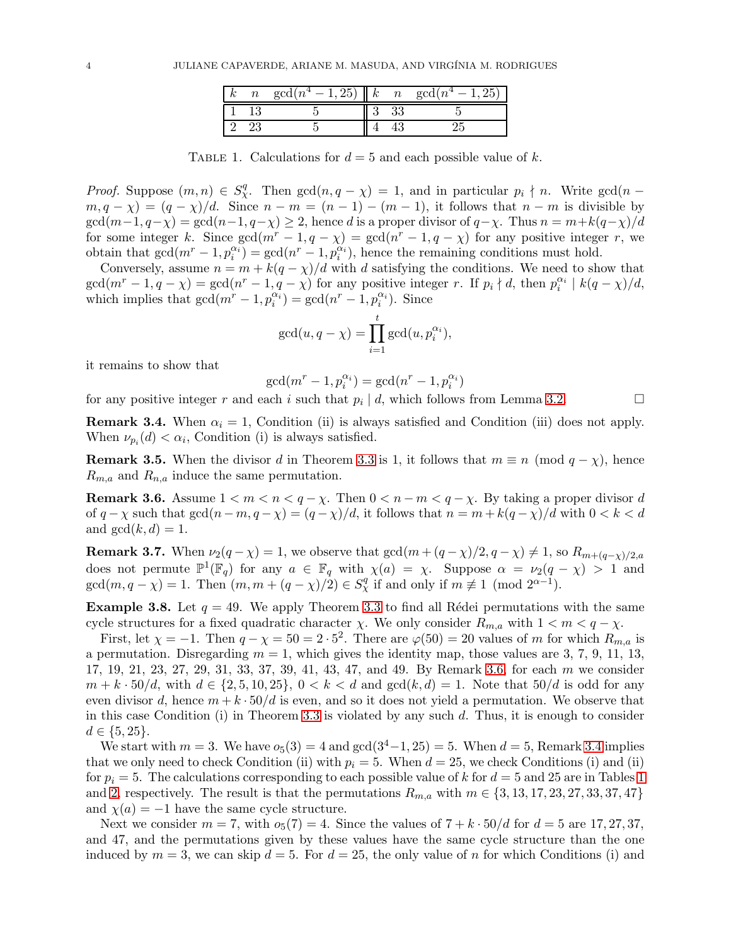|  | $gcd(n^4-1,25)$   k n |  | $\gcd(n^4-1)$ |
|--|-----------------------|--|---------------|
|  |                       |  |               |
|  |                       |  |               |

TABLE 1. Calculations for  $d = 5$  and each possible value of k.

<span id="page-3-2"></span>*Proof.* Suppose  $(m, n) \in S_{\chi}^q$ . Then  $gcd(n, q - \chi) = 1$ , and in particular  $p_i \nmid n$ . Write  $gcd(n - \chi)$  $m, q - \chi$ ) =  $(q - \chi)/d$ . Since  $n - m = (n - 1) - (m - 1)$ , it follows that  $n - m$  is divisible by  $\gcd(m-1, q-\chi) = \gcd(n-1, q-\chi) \geq 2$ , hence d is a proper divisor of  $q-\chi$ . Thus  $n = m+k(q-\chi)/d$ for some integer k. Since  $gcd(m^r - 1, q - \chi) = gcd(n^r - 1, q - \chi)$  for any positive integer r, we obtain that  $gcd(m^r-1, p_i^{\alpha_i}) = gcd(n^r-1, p_i^{\alpha_i})$ , hence the remaining conditions must hold.

Conversely, assume  $n = m + k(q - \chi)/d$  with d satisfying the conditions. We need to show that  $gcd(m^r-1,q-\chi) = gcd(n^r-1,q-\chi)$  for any positive integer r. If  $p_i \nmid d$ , then  $p_i^{\alpha_i} \mid k(q-\chi)/d$ , which implies that  $gcd(m^r - 1, p_i^{\alpha_i}) = gcd(n^r - 1, p_i^{\alpha_i})$ . Since

$$
\gcd(u, q - \chi) = \prod_{i=1}^t \gcd(u, p_i^{\alpha_i}),
$$

it remains to show that

$$
\gcd(m^r - 1, p_i^{\alpha_i}) = \gcd(n^r - 1, p_i^{\alpha_i})
$$

for any positive integer r and each i such that  $p_i | d$ , which follows from Lemma [3.2.](#page-2-2)

<span id="page-3-1"></span>**Remark 3.4.** When  $\alpha_i = 1$ , Condition (ii) is always satisfied and Condition (iii) does not apply. When  $\nu_{p_i}(d) < \alpha_i$ , Condition (i) is always satisfied.

**Remark 3.5.** When the divisor d in Theorem [3.3](#page-2-3) is 1, it follows that  $m \equiv n \pmod{q - \chi}$ , hence  $R_{m,a}$  and  $R_{n,a}$  induce the same permutation.

<span id="page-3-0"></span>**Remark 3.6.** Assume  $1 < m < n < q - \chi$ . Then  $0 < n - m < q - \chi$ . By taking a proper divisor d of  $q - \chi$  such that  $gcd(n - m, q - \chi) = (q - \chi)/d$ , it follows that  $n = m + k(q - \chi)/d$  with  $0 < k < d$ and  $gcd(k, d) = 1$ .

<span id="page-3-3"></span>**Remark 3.7.** When  $\nu_2(q - \chi) = 1$ , we observe that  $\gcd(m + (q - \chi)/2, q - \chi) \neq 1$ , so  $R_{m+(q-\chi)/2,a}$ does not permute  $\mathbb{P}^1(\mathbb{F}_q)$  for any  $a \in \mathbb{F}_q$  with  $\chi(a) = \chi$ . Suppose  $\alpha = \nu_2(q - \chi) > 1$  and  $gcd(m, q - \chi) = 1$ . Then  $(m, m + (q - \chi)/2) \in S_{\chi}^q$  if and only if  $m \not\equiv 1 \pmod{2^{\alpha-1}}$ .

<span id="page-3-4"></span>**Example 3.8.** Let  $q = 49$ . We apply Theorem [3.3](#page-2-3) to find all Rédei permutations with the same cycle structures for a fixed quadratic character  $\chi$ . We only consider  $R_{m,a}$  with  $1 < m < q - \chi$ .

First, let  $\chi = -1$ . Then  $q - \chi = 50 = 2 \cdot 5^2$ . There are  $\varphi(50) = 20$  values of m for which  $R_{m,a}$  is a permutation. Disregarding  $m = 1$ , which gives the identity map, those values are 3, 7, 9, 11, 13, 17, 19, 21, 23, 27, 29, 31, 33, 37, 39, 41, 43, 47, and 49. By Remark [3.6,](#page-3-0) for each m we consider  $m + k \cdot 50/d$ , with  $d \in \{2, 5, 10, 25\}$ ,  $0 < k < d$  and  $gcd(k, d) = 1$ . Note that  $50/d$  is odd for any even divisor d, hence  $m + k \cdot 50/d$  is even, and so it does not yield a permutation. We observe that in this case Condition (i) in Theorem [3.3](#page-2-3) is violated by any such  $d$ . Thus, it is enough to consider  $d \in \{5, 25\}.$ 

We start with  $m = 3$ . We have  $o_5(3) = 4$  and  $gcd(3^4-1, 25) = 5$ . When  $d = 5$ , Remark [3.4](#page-3-1) implies that we only need to check Condition (ii) with  $p_i = 5$ . When  $d = 25$ , we check Conditions (i) and (ii) for  $p_i = 5$ . The calculations corresponding to each possible value of k for  $d = 5$  and 25 are in Tables [1](#page-3-2) and [2,](#page-4-0) respectively. The result is that the permutations  $R_{m,a}$  with  $m \in \{3, 13, 17, 23, 27, 33, 37, 47\}$ and  $\chi(a) = -1$  have the same cycle structure.

Next we consider  $m = 7$ , with  $o_5(7) = 4$ . Since the values of  $7 + k \cdot 50/d$  for  $d = 5$  are 17, 27, 37, and 47, and the permutations given by these values have the same cycle structure than the one induced by  $m = 3$ , we can skip  $d = 5$ . For  $d = 25$ , the only value of n for which Conditions (i) and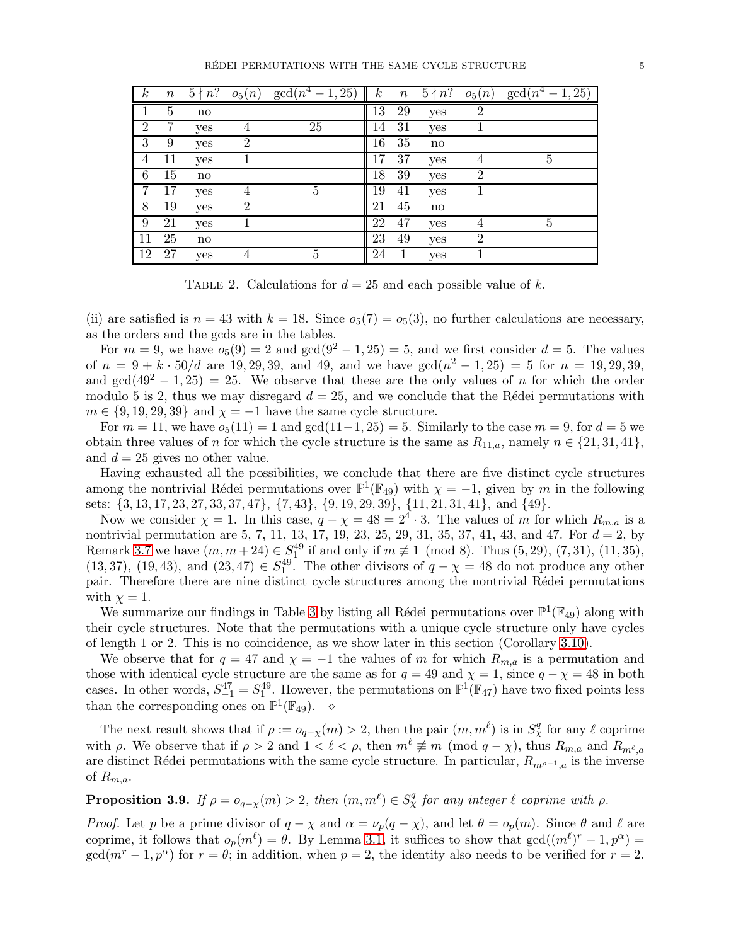#### RÉDEI PERMUTATIONS WITH THE SAME CYCLE STRUCTURE 5

<span id="page-4-0"></span>

| $\boldsymbol{k}$ | $\, n$         | $5 \nmid n$ ? | $o_5(n)$       | $\gcd(n^4)$<br>$-1, 25$ | $\boldsymbol{k}$ | $\, n$ | $5 \nmid n$ ?          | $o_5(n)$       | $gcd(n^4 - 1, 25)$ |
|------------------|----------------|---------------|----------------|-------------------------|------------------|--------|------------------------|----------------|--------------------|
|                  | $\overline{5}$ | $\mathbf{n}$  |                |                         | 13               | 29     | yes                    | $\overline{2}$ |                    |
| $\overline{2}$   | 7              | yes           | 4              | 25                      | 14               | 31     | yes                    |                |                    |
| 3                | 9              | yes           | $\overline{2}$ |                         | 16               | 35     | $\mathbf{n}\mathbf{o}$ |                |                    |
| 4                | 11             | yes           |                |                         | 17               | 37     | yes                    | 4              | 5                  |
| 6                | 15             | no            |                |                         | 18               | 39     | yes                    | $\overline{2}$ |                    |
|                  | 17             | yes           | 4              | 5                       | 19               | 41     | yes                    |                |                    |
| $8\,$            | 19             | yes           | $\overline{2}$ |                         | 21               | 45     | no                     |                |                    |
| 9                | 21             | yes           |                |                         | 22               | 47     | yes                    | 4              | $\overline{5}$     |
| 11               | 25             | no            |                |                         | 23               | 49     | yes                    | $\overline{2}$ |                    |
| 12               | 27             | yes           | 4              | $\overline{5}$          | 24               | 1      | yes                    |                |                    |

TABLE 2. Calculations for  $d = 25$  and each possible value of k.

(ii) are satisfied is  $n = 43$  with  $k = 18$ . Since  $o_5(7) = o_5(3)$ , no further calculations are necessary, as the orders and the gcds are in the tables.

For  $m = 9$ , we have  $o_5(9) = 2$  and  $gcd(9^2 - 1, 25) = 5$ , and we first consider  $d = 5$ . The values of  $n = 9 + k \cdot 50/d$  are 19, 29, 39, and 49, and we have  $gcd(n^2 - 1, 25) = 5$  for  $n = 19, 29, 39$ , and  $gcd(49^2 - 1, 25) = 25$ . We observe that these are the only values of n for which the order modulo 5 is 2, thus we may disregard  $d = 25$ , and we conclude that the Rédei permutations with  $m \in \{9, 19, 29, 39\}$  and  $\chi = -1$  have the same cycle structure.

For  $m = 11$ , we have  $o_5(11) = 1$  and  $gcd(11-1, 25) = 5$ . Similarly to the case  $m = 9$ , for  $d = 5$  we obtain three values of n for which the cycle structure is the same as  $R_{11,a}$ , namely  $n \in \{21,31,41\}$ , and  $d = 25$  gives no other value.

Having exhausted all the possibilities, we conclude that there are five distinct cycle structures among the nontrivial Rédei permutations over  $\mathbb{P}^1(\mathbb{F}_{49})$  with  $\chi = -1$ , given by m in the following sets: {3, 13, 17, 23, 27, 33, 37, 47}, {7, 43}, {9, 19, 29, 39}, {11, 21, 31, 41}, and {49}.

Now we consider  $\chi = 1$ . In this case,  $q - \chi = 48 = 2^4 \cdot 3$ . The values of m for which  $R_{m,a}$  is a nontrivial permutation are 5, 7, 11, 13, 17, 19, 23, 25, 29, 31, 35, 37, 41, 43, and 47. For  $d = 2$ , by Remark [3.7](#page-3-3) we have  $(m, m + 24) \in S_1^{49}$  if and only if  $m \not\equiv 1 \pmod{8}$ . Thus  $(5, 29)$ ,  $(7, 31)$ ,  $(11, 35)$ , (13, 37), (19, 43), and (23, 47)  $\in S_1^{49}$ . The other divisors of  $q - \chi = 48$  do not produce any other pair. Therefore there are nine distinct cycle structures among the nontrivial Rédei permutations with  $\chi = 1$ .

We summarize our findings in Table [3](#page-5-0) by listing all Rédei permutations over  $\mathbb{P}^1(\mathbb{F}_{49})$  along with their cycle structures. Note that the permutations with a unique cycle structure only have cycles of length 1 or 2. This is no coincidence, as we show later in this section (Corollary [3.10\)](#page-5-1).

We observe that for  $q = 47$  and  $\chi = -1$  the values of m for which  $R_{m,a}$  is a permutation and those with identical cycle structure are the same as for  $q = 49$  and  $\chi = 1$ , since  $q - \chi = 48$  in both cases. In other words,  $S_{-1}^{47} = S_1^{49}$ . However, the permutations on  $\mathbb{P}^1(\mathbb{F}_{47})$  have two fixed points less than the corresponding ones on  $\mathbb{P}^1(\mathbb{F}_{49})$ .  $\diamond$ 

The next result shows that if  $\rho := o_{q-\chi}(m) > 2$ , then the pair  $(m, m^{\ell})$  is in  $S_{\chi}^{q}$  for any  $\ell$  coprime with  $\rho$ . We observe that if  $\rho > 2$  and  $1 < \ell < \rho$ , then  $m^{\ell} \not\equiv m \pmod{q - \chi}$ , thus  $R_{m,a}$  and  $R_{m^{\ell},a}$ are distinct Rédei permutations with the same cycle structure. In particular,  $R_{m\rho-1,a}$  is the inverse of  $R_{m,a}$ .

# <span id="page-4-1"></span>**Proposition 3.9.** *If*  $\rho = o_{q-\chi}(m) > 2$ , then  $(m, m^{\ell}) \in S_{\chi}^q$  for any integer  $\ell$  coprime with  $\rho$ .

*Proof.* Let p be a prime divisor of  $q - \chi$  and  $\alpha = \nu_p(q - \chi)$ , and let  $\theta = o_p(m)$ . Since  $\theta$  and  $\ell$  are coprime, it follows that  $o_p(m^{\ell}) = \theta$ . By Lemma [3.1,](#page-2-1) it suffices to show that  $gcd((m^{\ell})^r - 1, p^{\alpha}) =$  $gcd(m^r-1, p^{\alpha})$  for  $r = \theta$ ; in addition, when  $p = 2$ , the identity also needs to be verified for  $r = 2$ .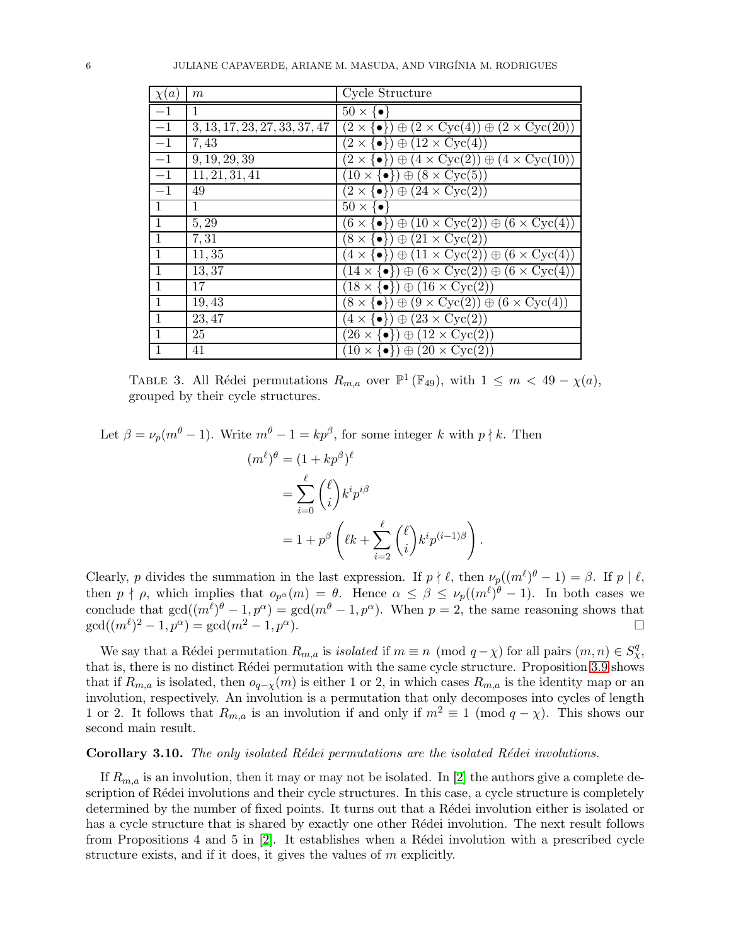<span id="page-5-0"></span>

| $\chi(a)$    | m                             | Cycle Structure                                                                             |
|--------------|-------------------------------|---------------------------------------------------------------------------------------------|
| $-1$         | 1                             | $50 \times \{\bullet\}$                                                                     |
| $-1$         | 3, 13, 17, 23, 27, 33, 37, 47 | $(2 \times \{\bullet\}) \oplus (2 \times \text{Cyc}(4)) \oplus (2 \times \text{Cyc}(20))$   |
| $-1$         | 7,43                          | $(2 \times \{\bullet\}) \oplus (\overline{12 \times \text{Cyc}(4)})$                        |
| $-1\,$       | 9, 19, 29, 39                 | $(2 \times \{\bullet\}) \oplus (4 \times \text{Cyc}(2)) \oplus (4 \times \text{Cyc}(10))$   |
| $-1$         | 11, 21, 31, 41                | $(10 \times \{\bullet\}) \oplus (8 \times \overline{\mathrm{Cyc}}(5))$                      |
| $-1$         | 49                            | $(2 \times \{\bullet\}) \oplus (24 \times \text{Cyc}(2))$                                   |
| $\mathbf{1}$ | 1                             | $50 \times \{\bullet\}$                                                                     |
| 1            | 5,29                          | $(6 \times \{\bullet\}) \oplus (10 \times \text{Cyc}(2)) \oplus (6 \times \text{Cyc}(4))$   |
| 1            | 7,31                          | $(8 \times \{\bullet\}) \oplus (21 \times \text{Cyc}(2))$                                   |
| $\mathbf{1}$ | 11, 35                        | $(4 \times \{ \bullet \}) \oplus (11 \times \text{Cyc}(2)) \oplus (6 \times \text{Cyc}(4))$ |
| 1            | 13,37                         | $(14 \times \{\bullet\}) \oplus (6 \times \text{Cyc}(2)) \oplus (6 \times \text{Cyc}(4))$   |
| $\mathbf{1}$ | 17                            | $(18 \times \{\bullet\}) \oplus (16 \times \text{Cyc}(2))$                                  |
| $\mathbf{1}$ | 19,43                         | $(8 \times \{ \bullet \}) \oplus (9 \times \text{Cyc}(2)) \oplus (6 \times \text{Cyc}(4))$  |
| $\mathbf{1}$ | 23, 47                        | $(4 \times \{\bullet\}) \oplus (23 \times \text{Cyc}(2))$                                   |
| $\mathbf{1}$ | 25                            | $(26 \times \{\bullet\}) \oplus (12 \times \text{Cyc}(2))$                                  |
| 1            | 41                            | $(10 \times \{\bullet\}) \oplus (20 \times \text{Cyc}(2))$                                  |

TABLE 3. All Rédei permutations  $R_{m,a}$  over  $\mathbb{P}^1(\mathbb{F}_{49})$ , with  $1 \leq m < 49 - \chi(a)$ , grouped by their cycle structures.

Let  $\beta = \nu_p(m^{\theta} - 1)$ . Write  $m^{\theta} - 1 = kp^{\beta}$ , for some integer k with  $p \nmid k$ . Then

$$
(m^{\ell})^{\theta} = (1 + kp^{\beta})^{\ell}
$$
  
= 
$$
\sum_{i=0}^{\ell} {\ell \choose i} k^{i} p^{i\beta}
$$
  
= 
$$
1 + p^{\beta} \left(\ell k + \sum_{i=2}^{\ell} {\ell \choose i} k^{i} p^{(i-1)\beta}\right).
$$

Clearly, p divides the summation in the last expression. If  $p \nmid \ell$ , then  $\nu_p((m^{\ell})^{\theta} - 1) = \beta$ . If  $p \mid \ell$ , then  $p \nmid \rho$ , which implies that  $o_{p^{\alpha}}(m) = \theta$ . Hence  $\alpha \leq \beta \leq \nu_p((m^{\ell})^{\theta} - 1)$ . In both cases we conclude that  $gcd((m^{\ell})^{\theta} - 1, p^{\alpha}) = gcd(m^{\theta} - 1, p^{\alpha})$ . When  $p = 2$ , the same reasoning shows that  $gcd((m^{\ell})^2 - 1, p^{\alpha}) = gcd(m^2 - 1, p^{\alpha}).$ 

We say that a Rédei permutation  $R_{m,a}$  is *isolated* if  $m \equiv n \pmod{q - \chi}$  for all pairs  $(m, n) \in S_{\chi}^q$ , that is, there is no distinct Rédei permutation with the same cycle structure. Proposition [3.9](#page-4-1) shows that if  $R_{m,a}$  is isolated, then  $o_{q-\chi}(m)$  is either 1 or 2, in which cases  $R_{m,a}$  is the identity map or an involution, respectively. An involution is a permutation that only decomposes into cycles of length 1 or 2. It follows that  $R_{m,a}$  is an involution if and only if  $m^2 \equiv 1 \pmod{q-\chi}$ . This shows our second main result.

#### <span id="page-5-1"></span>Corollary 3.10. The only isolated Rédei permutations are the isolated Rédei involutions.

If  $R_{m,a}$  is an involution, then it may or may not be isolated. In [\[2\]](#page-16-10) the authors give a complete description of Rédei involutions and their cycle structures. In this case, a cycle structure is completely determined by the number of fixed points. It turns out that a Rédei involution either is isolated or has a cycle structure that is shared by exactly one other Rédei involution. The next result follows from Propositions 4 and 5 in  $[2]$ . It establishes when a Rédei involution with a prescribed cycle structure exists, and if it does, it gives the values of m explicitly.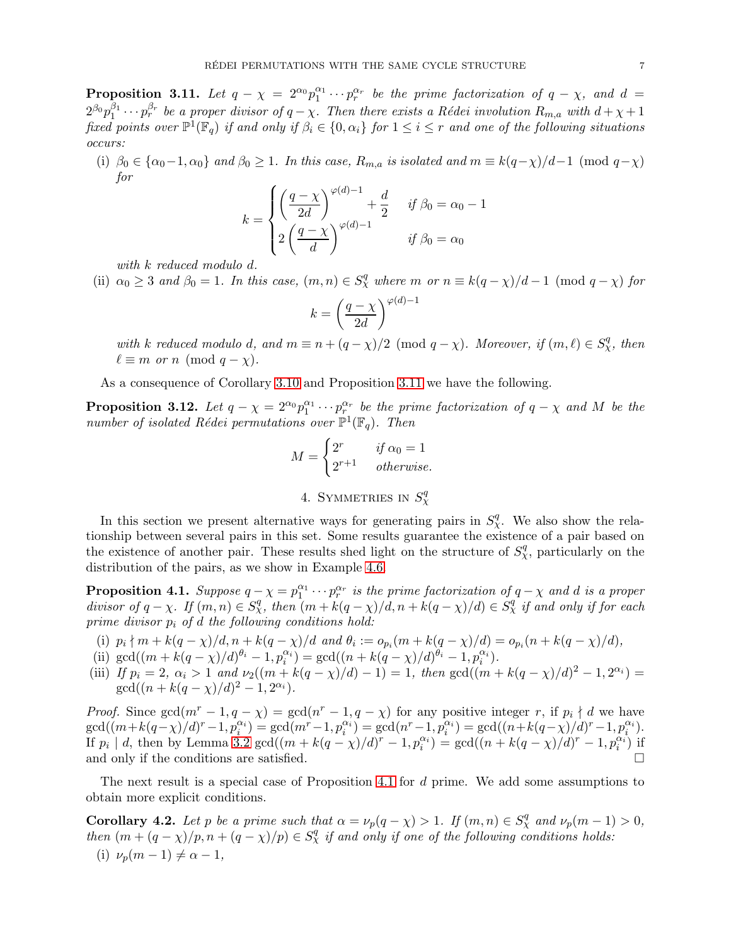<span id="page-6-1"></span>**Proposition 3.11.** Let  $q - \chi = 2^{\alpha_0} p_1^{\alpha_1} \cdots p_r^{\alpha_r}$  be the prime factorization of  $q - \chi$ , and  $d =$  $2^{\beta_0}p_1^{\beta_1}\cdots p_r^{\beta_r}$  be a proper divisor of  $q-\chi$ . Then there exists a Rédei involution  $R_{m,a}$  with  $d+\chi+1$ *fixed points over*  $\mathbb{P}^1(\mathbb{F}_q)$  *if and only if*  $\beta_i \in \{0, \alpha_i\}$  *for*  $1 \leq i \leq r$  *and one of the following situations occurs:*

(i)  $\beta_0 \in {\alpha_0-1, \alpha_0}$  *and*  $\beta_0 \geq 1$ *. In this case,*  $R_{m,a}$  *is isolated and*  $m \equiv k(q-\chi)/d-1 \pmod{q-\chi}$ *for*

$$
k = \begin{cases} \left(\frac{q-\chi}{2d}\right)^{\varphi(d)-1} + \frac{d}{2} & \text{if } \beta_0 = \alpha_0 - 1\\ 2\left(\frac{q-\chi}{d}\right)^{\varphi(d)-1} & \text{if } \beta_0 = \alpha_0 \end{cases}
$$

*with* k *reduced modulo* d*.*

(ii)  $\alpha_0 \geq 3$  *and*  $\beta_0 = 1$ *. In this case,*  $(m, n) \in S_\chi^q$  *where*  $m$  *or*  $n \equiv k(q - \chi)/d - 1$  (mod  $q - \chi$ ) for

$$
k = \left(\frac{q-\chi}{2d}\right)^{\varphi(d)-1}
$$

with k reduced modulo d, and  $m \equiv n + (q - \chi)/2 \pmod{q - \chi}$ . Moreover, if  $(m, \ell) \in S^q_\chi$ , then  $\ell \equiv m \text{ or } n \pmod{q-\chi}.$ 

As a consequence of Corollary [3.10](#page-5-1) and Proposition [3.11](#page-6-1) we have the following.

**Proposition 3.12.** Let  $q - \chi = 2^{\alpha_0} p_1^{\alpha_1} \cdots p_{r_1}^{\alpha_r}$  be the prime factorization of  $q - \chi$  and M be the *number of isolated Rédei permutations over*  $\mathbb{P}^1(\mathbb{F}_q)$ . Then

$$
M = \begin{cases} 2^r & \text{if } \alpha_0 = 1 \\ 2^{r+1} & \text{otherwise.} \end{cases}
$$

4. SYMMETRIES IN  $S_{\chi}^q$ 

<span id="page-6-0"></span>In this section we present alternative ways for generating pairs in  $S_{\chi}^{q}$ . We also show the relationship between several pairs in this set. Some results guarantee the existence of a pair based on the existence of another pair. These results shed light on the structure of  $S_{\chi}^q$ , particularly on the distribution of the pairs, as we show in Example [4.6.](#page-8-0)

<span id="page-6-2"></span>**Proposition 4.1.** Suppose  $q - \chi = p_1^{\alpha_1} \cdots p_r^{\alpha_r}$  is the prime factorization of  $q - \chi$  and d is a proper divisor of  $q - \chi$ . If  $(m, n) \in S_{\chi}^q$ , then  $(m + k(q - \chi)/d, n + k(q - \chi)/d) \in S_{\chi}^q$  if and only if for each *prime divisor* p<sup>i</sup> *of* d *the following conditions hold:*

(i) 
$$
p_i \nmid m + k(q - \chi)/d, n + k(q - \chi)/d
$$
 and  $\theta_i := o_{p_i}(m + k(q - \chi)/d) = o_{p_i}(n + k(q - \chi)/d)$ ,

(ii) 
$$
\gcd((m+k(q-\chi)/d)^{\theta_i}-1, p_i^{\alpha_i}) = \gcd((n+k(q-\chi)/d)^{\theta_i}-1, p_i^{\alpha_i}).
$$

(iii) *If*  $p_i = 2$ ,  $\alpha_i > 1$  and  $\nu_2((m + k(q - \chi)/d) - 1) = 1$ , then  $\gcd((m + k(q - \chi)/d)^2 - 1, 2^{\alpha_i}) =$  $gcd((n + k(q - \chi)/d)^2 - 1, 2^{\alpha_i}).$ 

*Proof.* Since  $gcd(m^r - 1, q - \chi) = gcd(n^r - 1, q - \chi)$  for any positive integer r, if  $p_i \nmid d$  we have  $\gcd((m+k(q-\chi)/d)^r-1,p_i^{\alpha_i})=\gcd(m^r-1,p_i^{\alpha_i})=\gcd(n^r-1,p_i^{\alpha_i})=\gcd((n+k(q-\chi)/d)^r-1,p_i^{\alpha_i}).$ If  $p_i | d$ , then by Lemma [3.2](#page-2-2) gcd $((m + k(q - \chi)/d)^r - 1, p_i^{\alpha_i}) = \gcd((n + k(q - \chi)/d)^r - 1, p_i^{\alpha_i})$  if and only if the conditions are satisfied.  $\square$ 

The next result is a special case of Proposition [4.1](#page-6-2) for d prime. We add some assumptions to obtain more explicit conditions.

<span id="page-6-3"></span>**Corollary 4.2.** Let p be a prime such that  $\alpha = \nu_p(q - \chi) > 1$ . If  $(m, n) \in S^q_\chi$  and  $\nu_p(m - 1) > 0$ , *then*  $(m + (q - \chi)/p, n + (q - \chi)/p) \in S_{\chi}^q$  *if and only if one of the following conditions holds:* (i)  $\nu_n(m-1) \neq \alpha - 1$ ,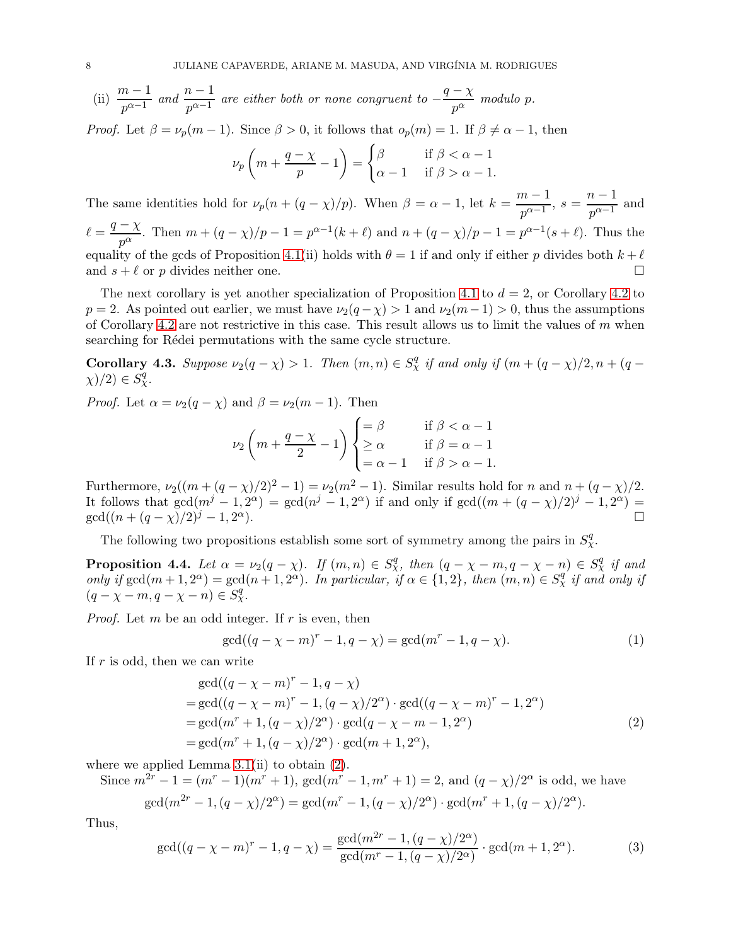(ii)  $\frac{m-1}{p^{\alpha-1}}$  and  $\frac{n-1}{p^{\alpha-1}}$  are either both or none congruent to  $-\frac{q-\chi}{p^{\alpha}}$  $\frac{\lambda}{p^{\alpha}}$  *modulo* p.

*Proof.* Let  $\beta = \nu_p(m-1)$ . Since  $\beta > 0$ , it follows that  $o_p(m) = 1$ . If  $\beta \neq \alpha - 1$ , then

$$
\nu_p\left(m+\frac{q-\chi}{p}-1\right) = \begin{cases} \beta & \text{if } \beta < \alpha-1\\ \alpha-1 & \text{if } \beta > \alpha-1. \end{cases}
$$

The same identities hold for  $\nu_p(n + (q - \chi)/p)$ . When  $\beta = \alpha - 1$ , let  $k = \frac{m-1}{n^{\alpha-1}}$  $\frac{n-1}{p^{\alpha-1}}, s = \frac{n-1}{p^{\alpha-1}}$  $\frac{1}{p^{\alpha-1}}$  and  $\ell = \frac{q - \chi}{\chi}$  $\frac{-x}{p^{\alpha}}$ . Then  $m + (q - x)/p - 1 = p^{\alpha - 1}(k + \ell)$  and  $n + (q - x)/p - 1 = p^{\alpha - 1}(s + \ell)$ . Thus the equality of the gcds of Proposition [4.1\(](#page-6-2)ii) holds with  $\theta = 1$  if and only if either p divides both  $k + \ell$ and  $s + \ell$  or p divides neither one.

The next corollary is yet another specialization of Proposition [4.1](#page-6-2) to  $d = 2$ , or Corollary [4.2](#page-6-3) to  $p = 2$ . As pointed out earlier, we must have  $\nu_2(q - \chi) > 1$  and  $\nu_2(m-1) > 0$ , thus the assumptions of Corollary [4.2](#page-6-3) are not restrictive in this case. This result allows us to limit the values of  $m$  when searching for Rédei permutations with the same cycle structure.

**Corollary 4.3.** Suppose  $\nu_2(q - \chi) > 1$ . Then  $(m, n) \in S^q_\chi$  if and only if  $(m + (q - \chi)/2, n + (q - \chi)/2)$ .  $(\chi)/2) \in S_{\chi}^{q}$ .

*Proof.* Let  $\alpha = \nu_2(q - \chi)$  and  $\beta = \nu_2(m - 1)$ . Then

$$
\nu_2 \left( m + \frac{q - \chi}{2} - 1 \right) \begin{cases} = \beta & \text{if } \beta < \alpha - 1 \\ \geq \alpha & \text{if } \beta = \alpha - 1 \\ = \alpha - 1 & \text{if } \beta > \alpha - 1. \end{cases}
$$

Furthermore,  $\nu_2((m+(q-\chi)/2)^2-1)=\nu_2(m^2-1)$ . Similar results hold for n and  $n+(q-\chi)/2$ . It follows that  $gcd(m^j - 1, 2^{\alpha}) = gcd(n^j - 1, 2^{\alpha})$  if and only if  $gcd((m + (q - \chi)/2)^j - 1, 2^{\alpha}) =$  $gcd((n + (q - \chi)/2)^j - 1, 2^{\alpha}).$  $\alpha$ ).

The following two propositions establish some sort of symmetry among the pairs in  $S_{\chi}^q$ .

<span id="page-7-3"></span>**Proposition 4.4.** Let  $\alpha = \nu_2(q - \chi)$ . If  $(m, n) \in S_{\chi}^q$ , then  $(q - \chi - m, q - \chi - n) \in S_{\chi}^q$  if and only if  $gcd(m+1, 2^{\alpha}) = gcd(n+1, 2^{\alpha})$ . In particular, if  $\alpha \in \{1, 2\}$ , then  $(m, n) \in S_{\chi}^{q'}$  if and only if  $(q - \chi - m, q - \chi - n) \in S_{\chi}^{q}$ .

*Proof.* Let  $m$  be an odd integer. If  $r$  is even, then

<span id="page-7-1"></span><span id="page-7-0"></span>
$$
\gcd((q - \chi - m)^{r} - 1, q - \chi) = \gcd(m^{r} - 1, q - \chi). \tag{1}
$$

If  $r$  is odd, then we can write

$$
gcd((q - \chi - m)^r - 1, q - \chi)
$$
  
= gcd((q - \chi - m)^r - 1, (q - \chi)/2^{\alpha}) \cdot gcd((q - \chi - m)^r - 1, 2^{\alpha})  
= gcd(m^r + 1, (q - \chi)/2^{\alpha}) \cdot gcd(q - \chi - m - 1, 2^{\alpha})  
= gcd(m^r + 1, (q - \chi)/2^{\alpha}) \cdot gcd(m + 1, 2^{\alpha}), (2)

where we applied Lemma  $3.1(ii)$  to obtain  $(2)$ .

Since  $m^{2r} - 1 = (m^r - 1)(m^r + 1)$ ,  $gcd(m^r - 1, m^r + 1) = 2$ , and  $(q - \chi)/2^{\alpha}$  is odd, we have  $\gcd(m^{2r} - 1, (q - \chi)/2^{\alpha}) = \gcd(m^r - 1, (q - \chi)/2^{\alpha}) \cdot \gcd(m^r + 1, (q - \chi)/2^{\alpha}).$ 

Thus,

<span id="page-7-2"></span>
$$
\gcd((q - \chi - m)^r - 1, q - \chi) = \frac{\gcd(m^{2r} - 1, (q - \chi)/2^{\alpha})}{\gcd(m^r - 1, (q - \chi)/2^{\alpha})} \cdot \gcd(m + 1, 2^{\alpha}).
$$
\n(3)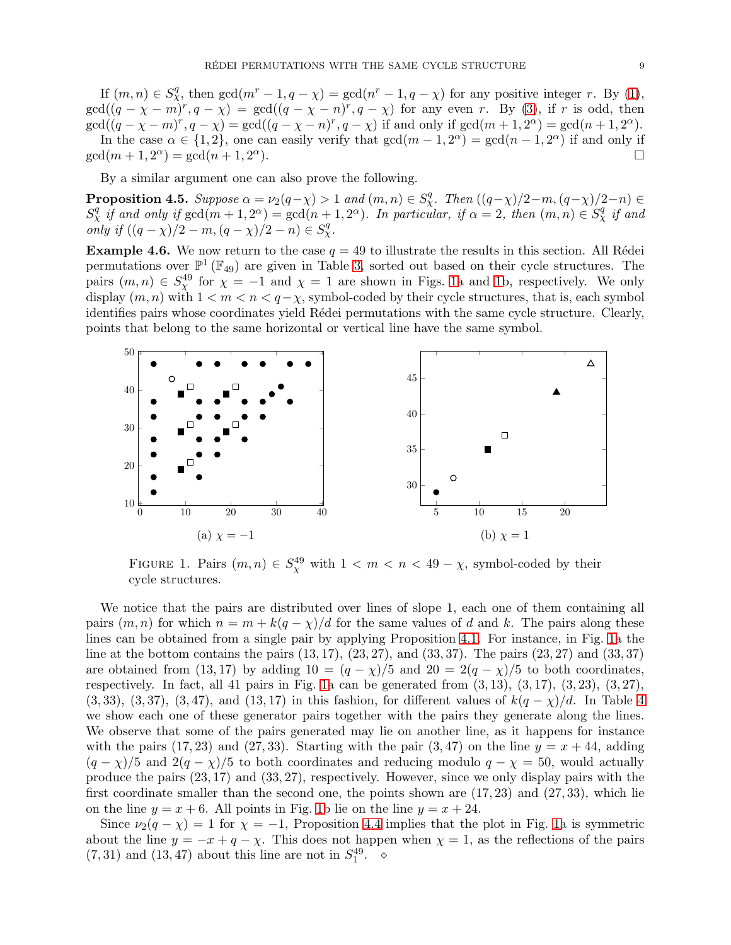If  $(m, n) \in S_{\chi}^q$ , then  $\gcd(m^r-1, q-\chi) = \gcd(n^r-1, q-\chi)$  for any positive integer r. By [\(1\)](#page-7-1),  $gcd((q - \chi - m)^r, q - \chi) = gcd((q - \chi - n)^r, q - \chi)$  for any even r. By [\(3\)](#page-7-2), if r is odd, then  $\gcd((q - \chi - m)^r, q - \chi) = \gcd((q - \chi - n)^r, q - \chi)$  if and only if  $\gcd(m + 1, 2^{\alpha}) = \gcd(n + 1, 2^{\alpha})$ . In the case  $\alpha \in \{1,2\}$ , one can easily verify that  $gcd(m-1,2^{\alpha}) = gcd(n-1,2^{\alpha})$  if and only if  $gcd(m+1, 2^{\alpha}) = gcd(n+1, 2^{\alpha})$  $\alpha$ ).

By a similar argument one can also prove the following.

**Proposition 4.5.** Suppose  $\alpha = \nu_2(q-\chi) > 1$  and  $(m, n) \in S_\chi^q$ . Then  $((q-\chi)/2-m, (q-\chi)/2-n) \in S_\chi^q$  $S^q_\chi$  *if and only if*  $gcd(m+1, 2^\alpha) = gcd(n+1, 2^\alpha)$ . In particular, if  $\alpha = 2$ , then  $(m, n) \in S^q_\chi$  *if and only if*  $((q - \chi)/2 - m, (q - \chi)/2 - n) \in S_{\chi}^{q}$ .

<span id="page-8-0"></span>**Example 4.6.** We now return to the case  $q = 49$  to illustrate the results in this section. All Rédei permutations over  $\mathbb{P}^1(\mathbb{F}_{49})$  are given in Table [3,](#page-5-0) sorted out based on their cycle structures. The pairs  $(m, n) \in S_\chi^{49}$  for  $\chi = -1$  and  $\chi = 1$  are shown in Figs. [1a](#page-8-1) and [1b](#page-8-1), respectively. We only display  $(m, n)$  with  $1 < m < n < q-\chi$ , symbol-coded by their cycle structures, that is, each symbol identifies pairs whose coordinates yield Rédei permutations with the same cycle structure. Clearly, points that belong to the same horizontal or vertical line have the same symbol.

<span id="page-8-1"></span>

FIGURE 1. Pairs  $(m, n) \in S_\chi^{49}$  with  $1 < m < n < 49 - \chi$ , symbol-coded by their cycle structures.

We notice that the pairs are distributed over lines of slope 1, each one of them containing all pairs  $(m, n)$  for which  $n = m + k(q - \chi)/d$  for the same values of d and k. The pairs along these lines can be obtained from a single pair by applying Proposition [4.1.](#page-6-2) For instance, in Fig. [1a](#page-8-1) the line at the bottom contains the pairs  $(13, 17)$ ,  $(23, 27)$ , and  $(33, 37)$ . The pairs  $(23, 27)$  and  $(33, 37)$ are obtained from (13,17) by adding  $10 = (q - \chi)/5$  and  $20 = 2(q - \chi)/5$  to both coordinates, respectively. In fact, all 41 pairs in Fig. [1a](#page-8-1) can be generated from  $(3, 13)$ ,  $(3, 17)$ ,  $(3, 23)$ ,  $(3, 27)$ ,  $(3, 33), (3, 37), (3, 47),$  $(3, 33), (3, 37), (3, 47),$  $(3, 33), (3, 37), (3, 47),$  and  $(13, 17)$  in this fashion, for different values of  $k(q - \chi)/d$ . In Table 4 we show each one of these generator pairs together with the pairs they generate along the lines. We observe that some of the pairs generated may lie on another line, as it happens for instance with the pairs (17, 23) and (27, 33). Starting with the pair  $(3, 47)$  on the line  $y = x + 44$ , adding  $(q - \chi)/5$  and  $2(q - \chi)/5$  to both coordinates and reducing modulo  $q - \chi = 50$ , would actually produce the pairs (23, 17) and (33, 27), respectively. However, since we only display pairs with the first coordinate smaller than the second one, the points shown are  $(17, 23)$  and  $(27, 33)$ , which lie on the line  $y = x + 6$ . All points in Fig. [1b](#page-8-1) lie on the line  $y = x + 24$ .

Since  $\nu_2(q - \chi) = 1$  for  $\chi = -1$ , Proposition [4.4](#page-7-3) implies that the plot in Fig. [1a](#page-8-1) is symmetric about the line  $y = -x + q - \chi$ . This does not happen when  $\chi = 1$ , as the reflections of the pairs  $(7,31)$  and  $(13,47)$  about this line are not in  $S_1^{49}$ .  $\diamond$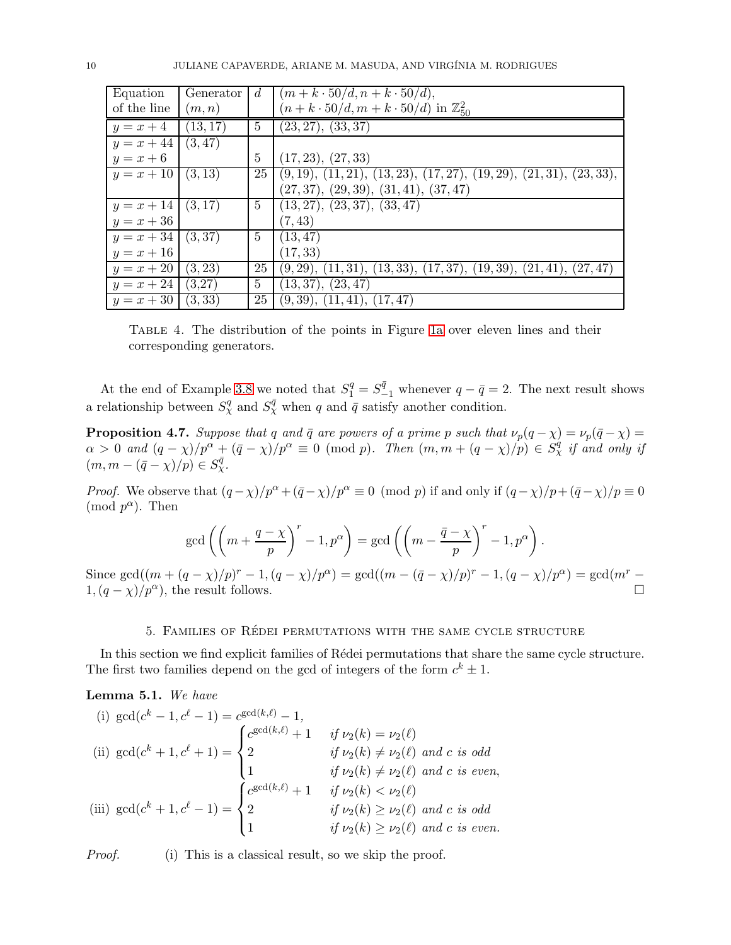<span id="page-9-1"></span>

| Equation             | Generator | $d_{i}$        | $(m+k \cdot 50/d, n+k \cdot 50/d),$                                    |
|----------------------|-----------|----------------|------------------------------------------------------------------------|
| of the line          | (m, n)    |                | $(n + k \cdot 50/d, m + k \cdot 50/d)$ in $\mathbb{Z}_{50}^2$          |
| $y=x+4$              | (13, 17)  | 5              | (23, 27), (33, 37)                                                     |
| $y = x + 44$         | (3, 47)   |                |                                                                        |
| $y=x+6$              |           | 5              | (17, 23), (27, 33)                                                     |
| $y = x + 10$ (3, 13) |           | 25             | $(9, 19), (11, 21), (13, 23), (17, 27), (19, 29), (21, 31), (23, 33),$ |
|                      |           |                | $(27, 37), (29, 39), (31, 41), (37, 47)$                               |
| $y = x + 14$ (3,17)  |           | 5              | (13, 27), (23, 37), (33, 47)                                           |
| $y = x + 36$         |           |                | (7, 43)                                                                |
| $y = x + 34$ (3,37)  |           | $\overline{5}$ | (13, 47)                                                               |
| $y = x + 16$         |           |                | (17, 33)                                                               |
| $y = x + 20$         | (3, 23)   | 25             | $(9, 29), (11, 31), (13, 33), (17, 37), (19, 39), (21, 41), (27, 47)$  |
| $y = x + 24$         | (3,27)    | 5              | (13, 37), (23, 47)                                                     |
| $y = x + 30$         | (3, 33)   | 25             | (9,39), (11,41), (17,47)                                               |

Table 4. The distribution of the points in Figure [1a](#page-8-1) over eleven lines and their corresponding generators.

At the end of Example [3.8](#page-3-4) we noted that  $S_1^q = S_{-1}^{\bar{q}}$  whenever  $q - \bar{q} = 2$ . The next result shows a relationship between  $S_{\chi}^{q}$  and  $S_{\chi}^{\bar{q}}$  when q and  $\bar{q}$  satisfy another condition.

**Proposition 4.7.** *Suppose that* q and  $\bar{q}$  are powers of a prime p such that  $\nu_p(q - \chi) = \nu_p(\bar{q} - \chi) =$  $\alpha > 0$  and  $(q - \chi)/p^{\alpha} + (\bar{q} - \chi)/p^{\alpha} \equiv 0 \pmod{p}$ . Then  $(m, m + (q - \chi)/p) \in S^q_\chi$  *if and only if*  $(m, m - (\bar{q} - \chi)/p) \in S_{\chi}^{\bar{q}}.$ 

*Proof.* We observe that  $(q - \chi)/p^{\alpha} + (\bar{q} - \chi)/p^{\alpha} \equiv 0 \pmod{p}$  if and only if  $(q - \chi)/p + (\bar{q} - \chi)/p \equiv 0$  $\pmod{p^{\alpha}}$ . Then

$$
\gcd\left(\left(m+\frac{q-\chi}{p}\right)^r-1,p^{\alpha}\right)=\gcd\left(\left(m-\frac{\bar{q}-\chi}{p}\right)^r-1,p^{\alpha}\right).
$$

Since  $gcd((m + (q - \chi)/p)^r - 1, (q - \chi)/p^{\alpha}) = gcd((m - (\bar{q} - \chi)/p)^r - 1, (q - \chi)/p^{\alpha}) = gcd(m^r 1, (q - \chi)/p^{\alpha}$ , the result follows.

## 5. Families of R´edei permutations with the same cycle structure

<span id="page-9-0"></span>In this section we find explicit families of Rédei permutations that share the same cycle structure. The first two families depend on the gcd of integers of the form  $c^k \pm 1$ .

Lemma 5.1. *We have*

(i) 
$$
gcd(c^k - 1, c^\ell - 1) = c^{gcd(k, \ell)} - 1,
$$
  
\n(ii)  $gcd(c^k + 1, c^\ell + 1) = \begin{cases} c^{gcd(k, \ell)} + 1 & \text{if } \nu_2(k) = \nu_2(\ell) \\ 2 & \text{if } \nu_2(k) \neq \nu_2(\ell) \text{ and } c \text{ is odd} \\ 1 & \text{if } \nu_2(k) \neq \nu_2(\ell) \text{ and } c \text{ is even,} \\ 2 & \text{if } \nu_2(k) < \nu_2(\ell) \\ 1 & \text{if } \nu_2(k) \geq \nu_2(\ell) \text{ and } c \text{ is odd} \\ 1 & \text{if } \nu_2(k) \geq \nu_2(\ell) \text{ and } c \text{ is odd} \end{cases}$   
\n(iii)  $gcd(c^k + 1, c^\ell - 1) = \begin{cases} c^{gcd(k, \ell)} + 1 & \text{if } \nu_2(k) = \nu_2(\ell) \\ 2 & \text{if } \nu_2(k) \geq \nu_2(\ell) \text{ and } c \text{ is odd} \\ 1 & \text{if } \nu_2(k) \geq \nu_2(\ell) \text{ and } c \text{ is even.} \end{cases}$ 

*Proof.* (i) This is a classical result, so we skip the proof.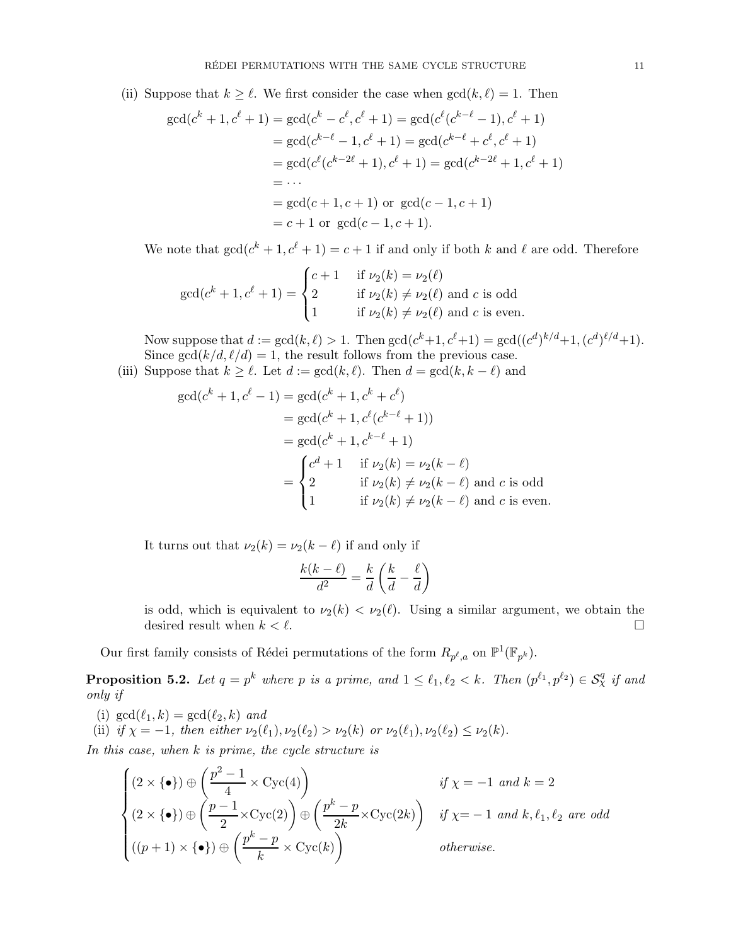(ii) Suppose that  $k \geq \ell$ . We first consider the case when  $gcd(k, \ell) = 1$ . Then

$$
gcd(c^{k} + 1, c^{\ell} + 1) = gcd(c^{k} - c^{\ell}, c^{\ell} + 1) = gcd(c^{\ell}(c^{k-\ell} - 1), c^{\ell} + 1)
$$
  
\n
$$
= gcd(c^{k-\ell} - 1, c^{\ell} + 1) = gcd(c^{k-\ell} + c^{\ell}, c^{\ell} + 1)
$$
  
\n
$$
= gcd(c^{\ell}(c^{k-2\ell} + 1), c^{\ell} + 1) = gcd(c^{k-2\ell} + 1, c^{\ell} + 1)
$$
  
\n
$$
= \cdots
$$
  
\n
$$
= gcd(c + 1, c + 1) \text{ or } gcd(c - 1, c + 1)
$$
  
\n
$$
= c + 1 \text{ or } gcd(c - 1, c + 1).
$$

We note that  $gcd(c^k + 1, c^{\ell} + 1) = c + 1$  if and only if both k and  $\ell$  are odd. Therefore

$$
\gcd(c^k + 1, c^\ell + 1) = \begin{cases} c + 1 & \text{if } \nu_2(k) = \nu_2(\ell) \\ 2 & \text{if } \nu_2(k) \neq \nu_2(\ell) \text{ and } c \text{ is odd} \\ 1 & \text{if } \nu_2(k) \neq \nu_2(\ell) \text{ and } c \text{ is even.} \end{cases}
$$

Now suppose that  $d := \gcd(k, \ell) > 1$ . Then  $\gcd(c^k+1, c^{\ell}+1) = \gcd((c^d)^{k/d}+1, (c^d)^{\ell/d}+1)$ . Since  $gcd(k/d, \ell/d) = 1$ , the result follows from the previous case.

(iii) Suppose that  $k \geq \ell$ . Let  $d := \gcd(k, \ell)$ . Then  $d = \gcd(k, k - \ell)$  and

$$
\gcd(c^k + 1, c^\ell - 1) = \gcd(c^k + 1, c^k + c^\ell)
$$
  
=  $\gcd(c^k + 1, c^\ell(c^{k-\ell} + 1))$   
=  $\gcd(c^k + 1, c^{k-\ell} + 1)$   
=  $\begin{cases} c^d + 1 & \text{if } \nu_2(k) = \nu_2(k - \ell) \\ 2 & \text{if } \nu_2(k) \neq \nu_2(k - \ell) \text{ and } c \text{ is odd} \\ 1 & \text{if } \nu_2(k) \neq \nu_2(k - \ell) \text{ and } c \text{ is even.} \end{cases}$ 

It turns out that  $\nu_2(k) = \nu_2(k - \ell)$  if and only if

$$
\frac{k(k-\ell)}{d^2} = \frac{k}{d}\left(\frac{k}{d}-\frac{\ell}{d}\right)
$$

is odd, which is equivalent to  $\nu_2(k) < \nu_2(\ell)$ . Using a similar argument, we obtain the desired result when  $k < \ell$ .

Our first family consists of Rédei permutations of the form  $R_{p^{\ell},a}$  on  $\mathbb{P}^1(\mathbb{F}_{p^k})$ .

**Proposition 5.2.** Let  $q = p^k$  where p is a prime, and  $1 \leq \ell_1, \ell_2 < k$ . Then  $(p^{\ell_1}, p^{\ell_2}) \in S^q_\chi$  if and *only if*

(i)  $gcd(\ell_1, k) = gcd(\ell_2, k)$  *and* (ii) *if*  $\chi = -1$ *, then either*  $\nu_2(\ell_1), \nu_2(\ell_2) > \nu_2(k)$  *or*  $\nu_2(\ell_1), \nu_2(\ell_2) \leq \nu_2(k)$ *.* 

*In this case, when* k *is prime, the cycle structure is*

$$
\begin{cases}\n(2 \times \{\bullet\}) \oplus \left(\frac{p^2 - 1}{4} \times \text{Cyc}(4)\right) & \text{if } \chi = -1 \text{ and } k = 2 \\
(2 \times \{\bullet\}) \oplus \left(\frac{p - 1}{2} \times \text{Cyc}(2)\right) \oplus \left(\frac{p^k - p}{2k} \times \text{Cyc}(2k)\right) & \text{if } \chi = -1 \text{ and } k, \ell_1, \ell_2 \text{ are odd} \\
((p + 1) \times \{\bullet\}) \oplus \left(\frac{p^k - p}{k} \times \text{Cyc}(k)\right) & \text{otherwise.} \n\end{cases}
$$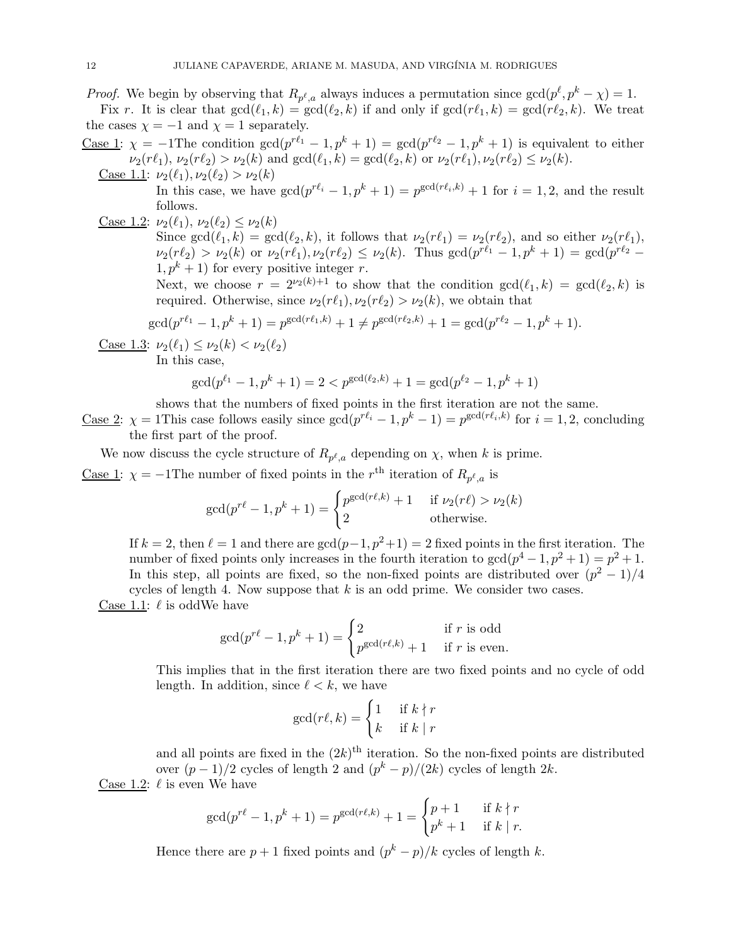*Proof.* We begin by observing that  $R_{p^{\ell},a}$  always induces a permutation since  $gcd(p^{\ell}, p^k - \chi) = 1$ .

Fix r. It is clear that  $gcd(\ell_1, k) = gcd(\ell_2, k)$  if and only if  $gcd(r\ell_1, k) = gcd(r\ell_2, k)$ . We treat the cases  $\chi = -1$  and  $\chi = 1$  separately.

- <u>Case 1</u>:  $\chi = -1$ The condition  $gcd(p^{r\ell_1} 1, p^k + 1) = gcd(p^{r\ell_2} 1, p^k + 1)$  is equivalent to either  $\nu_2(r\ell_1), \nu_2(r\ell_2) > \nu_2(k)$  and  $\gcd(\ell_1, k) = \gcd(\ell_2, k)$  or  $\nu_2(r\ell_1), \nu_2(r\ell_2) \leq \nu_2(k)$ .
	- Case 1.1:  $\nu_2(\ell_1), \nu_2(\ell_2) > \nu_2(k)$ In this case, we have  $gcd(p^{r\ell_i}-1, p^k+1)=p^{gcd(r\ell_i,k)}+1$  for  $i=1,2$ , and the result follows.
	- Case 1.2:  $\nu_2(\ell_1), \nu_2(\ell_2) \leq \nu_2(k)$ Since  $gcd(\ell_1, k) = gcd(\ell_2, k)$ , it follows that  $\nu_2(r\ell_1) = \nu_2(r\ell_2)$ , and so either  $\nu_2(r\ell_1)$ ,  $\nu_2(r\ell_2) > \nu_2(k)$  or  $\nu_2(r\ell_1), \nu_2(r\ell_2) \leq \nu_2(k)$ . Thus  $\gcd(p^{r\ell_1}-1, p^k+1) = \gcd(p^{r\ell_2}-1)$  $1, p^k + 1$  for every positive integer r. Next, we choose  $r = 2^{\nu_2(k)+1}$  to show that the condition  $gcd(\ell_1, k) = gcd(\ell_2, k)$  is

required. Otherwise, since  $\nu_2(r\ell_1), \nu_2(r\ell_2) > \nu_2(k)$ , we obtain that

$$
\gcd(p^{r\ell_1}-1, p^k+1) = p^{\gcd(r\ell_1, k)} + 1 \neq p^{\gcd(r\ell_2, k)} + 1 = \gcd(p^{r\ell_2}-1, p^k+1).
$$

Case 1.3:  $\nu_2(\ell_1) \leq \nu_2(k) < \nu_2(\ell_2)$ 

In this case,

$$
\gcd(p^{\ell_1}-1, p^k+1) = 2 < p^{\gcd(\ell_2, k)} + 1 = \gcd(p^{\ell_2}-1, p^k+1)
$$

shows that the numbers of fixed points in the first iteration are not the same.

<u>Case 2</u>:  $\chi = 1$ This case follows easily since  $gcd(p^{r\ell_i} - 1, p^k - 1) = p^{gcd(r\ell_i, k)}$  for  $i = 1, 2$ , concluding the first part of the proof.

We now discuss the cycle structure of  $R_{p^{\ell},a}$  depending on  $\chi$ , when k is prime.

<u>Case 1</u>:  $\chi = -1$ The number of fixed points in the  $r<sup>th</sup>$  iteration of  $R_{p^{\ell},a}$  is

$$
\gcd(p^{r\ell}-1, p^k+1) = \begin{cases} p^{\gcd(r\ell,k)} + 1 & \text{if } \nu_2(r\ell) > \nu_2(k) \\ 2 & \text{otherwise.} \end{cases}
$$

If  $k = 2$ , then  $\ell = 1$  and there are  $gcd(p-1, p^2+1) = 2$  fixed points in the first iteration. The number of fixed points only increases in the fourth iteration to  $gcd(p^4 - 1, p^2 + 1) = p^2 + 1$ . In this step, all points are fixed, so the non-fixed points are distributed over  $(p^2 - 1)/4$ cycles of length 4. Now suppose that  $k$  is an odd prime. We consider two cases.

Case 1.1:  $\ell$  is odd We have

$$
\gcd(p^{r\ell}-1, p^k+1) = \begin{cases} 2 & \text{if } r \text{ is odd} \\ p^{\gcd(r\ell,k)}+1 & \text{if } r \text{ is even.} \end{cases}
$$

This implies that in the first iteration there are two fixed points and no cycle of odd length. In addition, since  $\ell < k$ , we have

$$
\gcd(r\ell,k) = \begin{cases} 1 & \text{if } k \nmid r \\ k & \text{if } k \mid r \end{cases}
$$

and all points are fixed in the  $(2k)^{\text{th}}$  iteration. So the non-fixed points are distributed over  $(p-1)/2$  cycles of length 2 and  $(p^k - p)/(2k)$  cycles of length 2k. Case 1.2:  $\ell$  is even We have

$$
\gcd(p^{r\ell} - 1, p^k + 1) = p^{\gcd(r\ell, k)} + 1 = \begin{cases} p + 1 & \text{if } k \nmid r \\ p^k + 1 & \text{if } k \mid r. \end{cases}
$$

Hence there are  $p + 1$  fixed points and  $(p<sup>k</sup> - p)/k$  cycles of length k.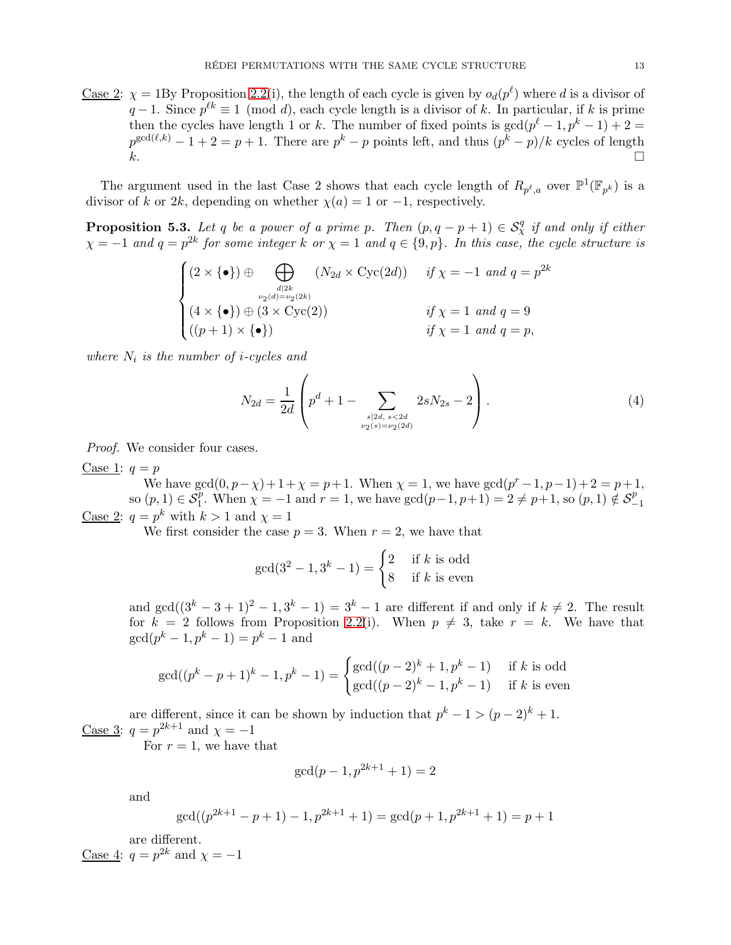<u>Case 2</u>:  $\chi = 1$ By Proposition 2.2(i), the length of each cycle is given by  $o_d(p^{\ell})$  where d is a divisor of  $q-1$ . Since  $p^{\ell k} \equiv 1 \pmod{d}$ , each cycle length is a divisor of k. In particular, if k is prime then the cycles have length 1 or k. The number of fixed points is  $gcd(p^{\ell} - 1, p^k - 1) + 2 =$  $p^{\gcd(\ell,k)} - 1 + 2 = p + 1$ . There are  $p^k - p$  points left, and thus  $(p^k - p)/k$  cycles of length

 $k$ .

The argument used in the last Case 2 shows that each cycle length of  $R_{p^{\ell},a}$  over  $\mathbb{P}^1(\mathbb{F}_{p^k})$  is a divisor of k or 2k, depending on whether  $\chi(a) = 1$  or  $-1$ , respectively.

<span id="page-12-0"></span>**Proposition 5.3.** Let q be a power of a prime p. Then  $(p, q - p + 1) \in S^q_\chi$  if and only if either  $\chi = -1$  and  $q = p^{2k}$  for some integer k or  $\chi = 1$  and  $q \in \{9, p\}$ . In this case, the cycle structure is

$$
\begin{cases}\n(2 \times {\bullet}) \oplus \bigoplus_{d|2k \atop \nu_2(d)=\nu_2(2k)} (N_{2d} \times \text{Cyc}(2d)) & \text{if } \chi = -1 \text{ and } q = p^{2k} \\
(4 \times {\bullet}) \oplus (3 \times \text{Cyc}(2)) & \text{if } \chi = 1 \text{ and } q = 9 \\
((p+1) \times {\bullet}) & \text{if } \chi = 1 \text{ and } q = p,\n\end{cases}
$$

 $where N<sub>i</sub> is the number of i-cycles and$ 

<span id="page-12-1"></span>
$$
N_{2d} = \frac{1}{2d} \left( p^d + 1 - \sum_{\substack{s|2d, s < 2d \\ \nu_2(s) = \nu_2(2d)}} 2sN_{2s} - 2 \right). \tag{4}
$$

*Proof.* We consider four cases.

Case 1:  $q = p$ 

We have  $\gcd(0, p - \chi) + 1 + \chi = p + 1$ . When  $\chi = 1$ , we have  $\gcd(p^r - 1, p - 1) + 2 = p + 1$ , so  $(p, 1) \in S_1^p$ . When  $\chi = -1$  and  $r = 1$ , we have  $gcd(p-1, p+1) = 2 \neq p+1$ , so  $(p, 1) \notin S_2^p$ . −1 Case 2:  $q = p^k$  with  $k > 1$  and  $\chi = 1$ 

We first consider the case  $p = 3$ . When  $r = 2$ , we have that

$$
\gcd(3^2 - 1, 3^k - 1) = \begin{cases} 2 & \text{if } k \text{ is odd} \\ 8 & \text{if } k \text{ is even} \end{cases}
$$

and  $gcd((3^k-3+1)^2-1,3^k-1)=3^k-1$  are different if and only if  $k \neq 2$ . The result for  $k = 2$  follows from Proposition 2.2(i). When  $p \neq 3$ , take  $r = k$ . We have that  $gcd(p^k - 1, p^k - 1) = p^k - 1$  and

$$
\gcd((p^k - p + 1)^k - 1, p^k - 1) = \begin{cases} \gcd((p-2)^k + 1, p^k - 1) & \text{if } k \text{ is odd} \\ \gcd((p-2)^k - 1, p^k - 1) & \text{if } k \text{ is even} \end{cases}
$$

are different, since it can be shown by induction that  $p^{k} - 1 > (p - 2)^{k} + 1$ . Case 3:  $q = p^{2k+1}$  and  $\chi = -1$ 

For  $r = 1$ , we have that

$$
\gcd(p-1, p^{2k+1} + 1) = 2
$$

and

$$
\gcd((p^{2k+1}-p+1)-1,p^{2k+1}+1)=\gcd(p+1,p^{2k+1}+1)=p+1
$$

are different.

Case 4:  $q = p^{2k}$  and  $\chi = -1$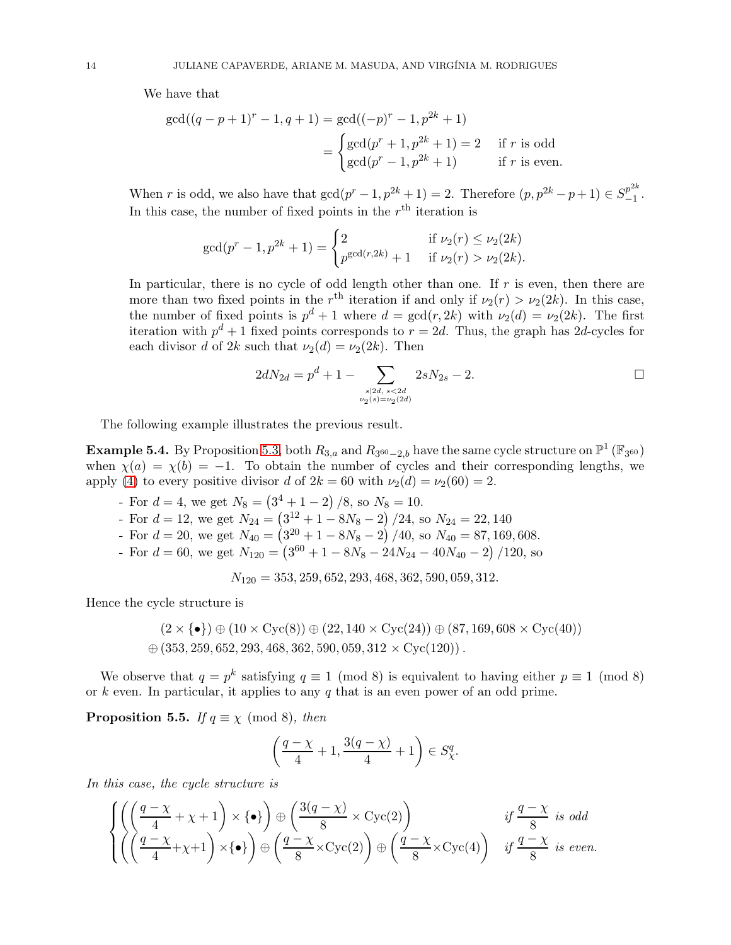We have that

$$
\gcd((q-p+1)^r - 1, q+1) = \gcd((-p)^r - 1, p^{2k} + 1)
$$
  
= 
$$
\begin{cases} \gcd(p^r + 1, p^{2k} + 1) = 2 & \text{if } r \text{ is odd} \\ \gcd(p^r - 1, p^{2k} + 1) & \text{if } r \text{ is even.} \end{cases}
$$

When r is odd, we also have that  $gcd(p^{r} - 1, p^{2k} + 1) = 2$ . Therefore  $(p, p^{2k} - p + 1) \in S^{p^{2k}}_{-1}$  $\frac{p}{-1}$ . In this case, the number of fixed points in the  $r<sup>th</sup>$  iteration is

$$
\gcd(p^r - 1, p^{2k} + 1) = \begin{cases} 2 & \text{if } \nu_2(r) \le \nu_2(2k) \\ p^{\gcd(r, 2k)} + 1 & \text{if } \nu_2(r) > \nu_2(2k). \end{cases}
$$

In particular, there is no cycle of odd length other than one. If  $r$  is even, then there are more than two fixed points in the  $r<sup>th</sup>$  iteration if and only if  $\nu_2(r) > \nu_2(2k)$ . In this case, the number of fixed points is  $p^d + 1$  where  $d = \gcd(r, 2k)$  with  $\nu_2(d) = \nu_2(2k)$ . The first iteration with  $p^d + 1$  fixed points corresponds to  $r = 2d$ . Thus, the graph has 2d-cycles for each divisor d of 2k such that  $\nu_2(d) = \nu_2(2k)$ . Then

$$
2dN_{2d} = p^d + 1 - \sum_{\substack{s \mid 2d, \ s < 2d \\ \nu_2(s) = \nu_2(2d)}} 2sN_{2s} - 2.
$$

The following example illustrates the previous result.

**Example 5.4.** By Proposition [5.3,](#page-12-0) both  $R_{3,a}$  and  $R_{3^{60}-2,b}$  have the same cycle structure on  $\mathbb{P}^1(\mathbb{F}_{3^{60}})$ when  $\chi(a) = \chi(b) = -1$ . To obtain the number of cycles and their corresponding lengths, we apply [\(4\)](#page-12-1) to every positive divisor d of  $2k = 60$  with  $\nu_2(d) = \nu_2(60) = 2$ .

- For  $d = 4$ , we get  $N_8 = (3^4 + 1 2) / 8$ , so  $N_8 = 10$ .
- For  $d = 12$ , we get  $N_{24} = \left(3^{12} + 1 8N_8 2\right)/24$ , so  $N_{24} = 22,140$
- For  $d = 20$ , we get  $N_{40} = (3^{20} + 1 8N_8 2)/40$ , so  $N_{40} = 87,169,608$ .
- For  $d = 60$ , we get  $N_{120} = (3^{60} + 1 8N_8 24N_{24} 40N_{40} 2)/120$ , so

 $N_{120} = 353, 259, 652, 293, 468, 362, 590, 059, 312.$ 

Hence the cycle structure is

$$
(2 \times {\bullet}) \oplus (10 \times \text{Cyc}(8)) \oplus (22,140 \times \text{Cyc}(24)) \oplus (87,169,608 \times \text{Cyc}(40))
$$
  

$$
\oplus (353,259,652,293,468,362,590,059,312 \times \text{Cyc}(120)) .
$$

We observe that  $q = p^k$  satisfying  $q \equiv 1 \pmod{8}$  is equivalent to having either  $p \equiv 1 \pmod{8}$ or k even. In particular, it applies to any q that is an even power of an odd prime.

**Proposition 5.5.** *If*  $q \equiv \chi \pmod{8}$ *, then* 

$$
\left(\frac{q-\chi}{4}+1, \frac{3(q-\chi)}{4}+1\right) \in S^q_{\chi}.
$$

*In this case, the cycle structure is*

$$
\begin{cases}\n\left(\left(\frac{q-\chi}{4}+\chi+1\right)\times\{\bullet\}\right)\oplus\left(\frac{3(q-\chi)}{8}\times\text{Cyc}(2)\right) & \text{if } \frac{q-\chi}{8} \text{ is odd} \\
\left(\left(\frac{q-\chi}{4}+\chi+1\right)\times\{\bullet\}\right)\oplus\left(\frac{q-\chi}{8}\times\text{Cyc}(2)\right)\oplus\left(\frac{q-\chi}{8}\times\text{Cyc}(4)\right) & \text{if } \frac{q-\chi}{8} \text{ is even.}\n\end{cases}
$$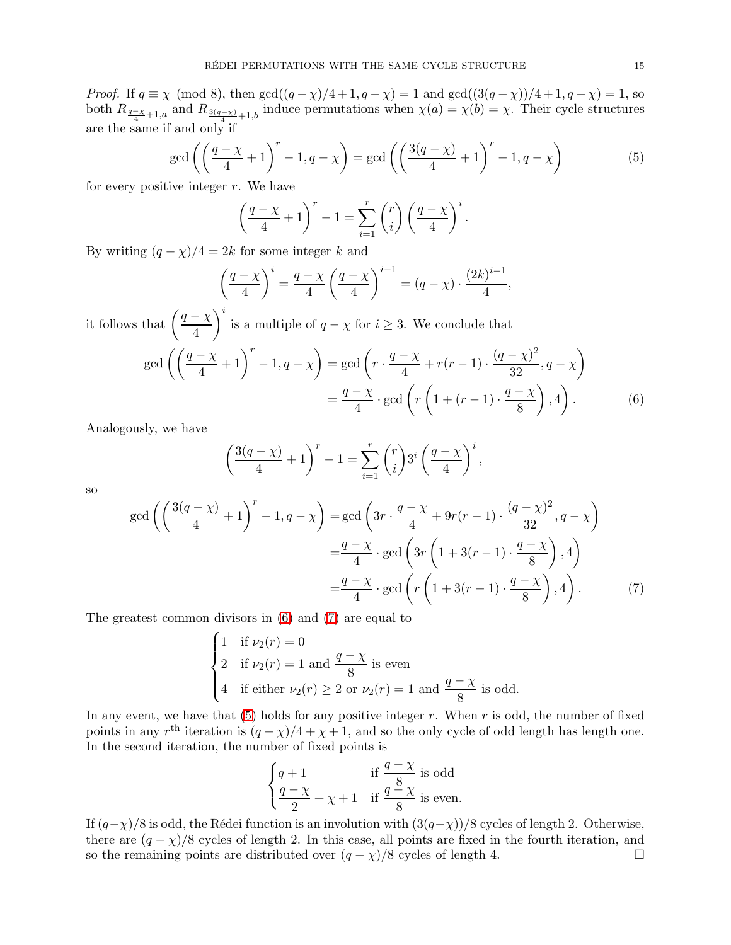*Proof.* If  $q \equiv \chi \pmod{8}$ , then  $\gcd((q - \chi)/4 + 1, q - \chi) = 1$  and  $\gcd((3(q - \chi))/4 + 1, q - \chi) = 1$ , so both  $R_{\frac{q-\chi}{4}+1,a}$  and  $R_{\frac{3(q-\chi)}{4}+1,b}$  induce permutations when  $\chi(a) = \chi(b) = \chi$ . Their cycle structures are the same if and only if

<span id="page-14-2"></span>
$$
\gcd\left(\left(\frac{q-\chi}{4}+1\right)^r - 1, q-\chi\right) = \gcd\left(\left(\frac{3(q-\chi)}{4}+1\right)^r - 1, q-\chi\right)
$$
(5)

for every positive integer  $r$ . We have

$$
\left(\frac{q-\chi}{4}+1\right)^r - 1 = \sum_{i=1}^r \binom{r}{i} \left(\frac{q-\chi}{4}\right)^i.
$$

By writing  $(q - \chi)/4 = 2k$  for some integer k and

$$
\left(\frac{q-\chi}{4}\right)^i = \frac{q-\chi}{4} \left(\frac{q-\chi}{4}\right)^{i-1} = (q-\chi) \cdot \frac{(2k)^{i-1}}{4},
$$

it follows that  $\left(\frac{q-\chi}{4}\right)$ 4  $\setminus^i$ is a multiple of  $q - \chi$  for  $i \geq 3$ . We conclude that  $\gcd\left(\left(\frac{q-\chi}{4}+1\right)^r-1, q-\chi\right)=\gcd\left(r\cdot\frac{q-\chi}{4}\right)$  $\frac{(r-1)(r-1)\cdot (q-\chi)^2}{32}$  $\left(\frac{-\chi}{32}, q - \chi\right)$  $=\frac{q-\chi}{4}$  $\frac{-\chi}{4} \cdot \gcd\left(r\left(1 + (r-1) \cdot \frac{q-\chi}{8}\right)\right)$ 8  $\bigg)$ , 4) . (6)

Analogously, we have

<span id="page-14-0"></span>
$$
\left(\frac{3(q-\chi)}{4}+1\right)^r - 1 = \sum_{i=1}^r \binom{r}{i} 3^i \left(\frac{q-\chi}{4}\right)^i,
$$

so

$$
\gcd\left(\left(\frac{3(q-\chi)}{4}+1\right)^r - 1, q-\chi\right) = \gcd\left(3r \cdot \frac{q-\chi}{4} + 9r(r-1) \cdot \frac{(q-\chi)^2}{32}, q-\chi\right)
$$

$$
= \frac{q-\chi}{4} \cdot \gcd\left(3r\left(1+3(r-1) \cdot \frac{q-\chi}{8}\right), 4\right)
$$

$$
= \frac{q-\chi}{4} \cdot \gcd\left(r\left(1+3(r-1) \cdot \frac{q-\chi}{8}\right), 4\right).
$$
(7)

The greatest common divisors in [\(6\)](#page-14-0) and [\(7\)](#page-14-1) are equal to

$$
\begin{cases}\n1 & \text{if } \nu_2(r) = 0 \\
2 & \text{if } \nu_2(r) = 1 \text{ and } \frac{q - \chi}{8} \text{ is even} \\
4 & \text{if either } \nu_2(r) \ge 2 \text{ or } \nu_2(r) = 1 \text{ and } \frac{q - \chi}{8} \text{ is odd.} \n\end{cases}
$$

In any event, we have that  $(5)$  holds for any positive integer r. When r is odd, the number of fixed points in any  $r<sup>th</sup>$  iteration is  $(q - \chi)/4 + \chi + 1$ , and so the only cycle of odd length has length one. In the second iteration, the number of fixed points is

<span id="page-14-1"></span>
$$
\begin{cases} q+1 & \text{if } \frac{q-\chi}{8} \text{ is odd} \\ \frac{q-\chi}{2}+\chi+1 & \text{if } \frac{q-\chi}{8} \text{ is even.} \end{cases}
$$

If  $(q-\chi)/8$  is odd, the Rédei function is an involution with  $(3(q-\chi))/8$  cycles of length 2. Otherwise, there are  $(q - \chi)/8$  cycles of length 2. In this case, all points are fixed in the fourth iteration, and so the remaining points are distributed over  $(q - \chi)/8$  cycles of length 4. so the remaining points are distributed over  $(q - \chi)/8$  cycles of length 4.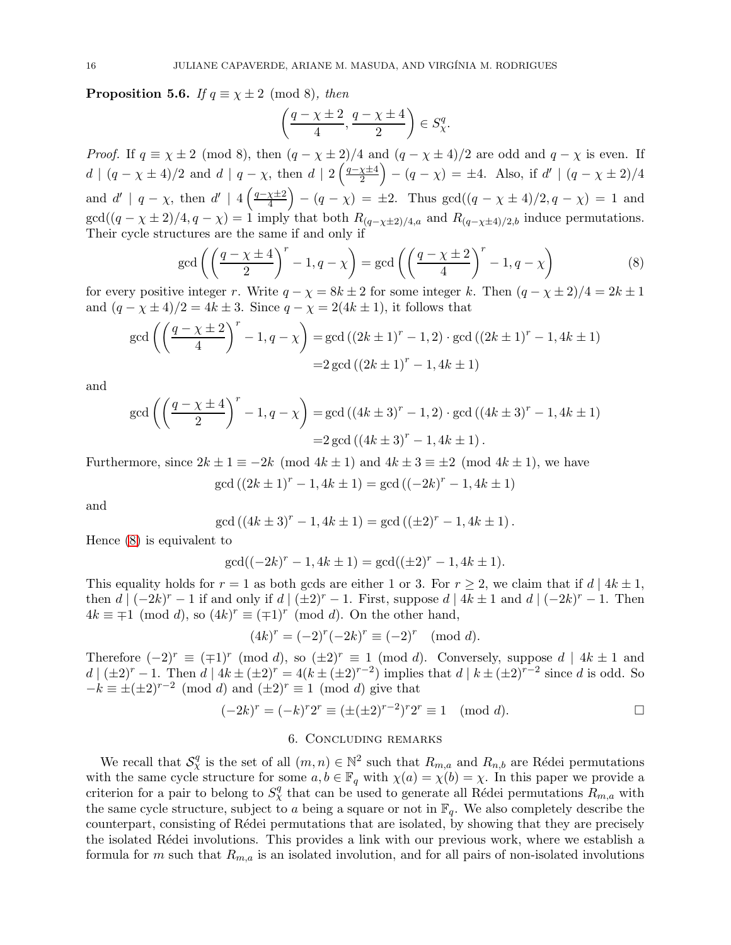**Proposition 5.6.** *If*  $q \equiv \chi \pm 2 \pmod{8}$ *, then* 

$$
\left(\frac{q-\chi\pm 2}{4},\frac{q-\chi\pm 4}{2}\right)\in S^q_\chi.
$$

*Proof.* If  $q \equiv \chi \pm 2 \pmod{8}$ , then  $(q - \chi \pm 2)/4$  and  $(q - \chi \pm 4)/2$  are odd and  $q - \chi$  is even. If  $d | (q - \chi \pm 4)/2$  and  $d | q - \chi$ , then  $d | 2 \left( \frac{q - \chi \pm 4}{2} \right)$  $\left(\frac{\chi \pm 4}{2}\right) - (q - \chi) = \pm 4.$  Also, if  $d' \mid (q - \chi \pm 2)/4$ and  $d' \mid q - \chi$ , then  $d' \mid 4\left(\frac{q - \chi \pm 2}{4}\right)$  $\left(\frac{\chi \pm 2}{4}\right) - (q - \chi) = \pm 2$ . Thus  $\gcd((q - \chi \pm 4)/2, q - \chi) = 1$  and  $gcd((q - \chi \pm 2)/4, q - \chi) = 1$  imply that both  $R_{(q-\chi \pm 2)/4,a}$  and  $R_{(q-\chi \pm 4)/2,b}$  induce permutations. Their cycle structures are the same if and only if

<span id="page-15-1"></span>
$$
\gcd\left(\left(\frac{q-\chi\pm 4}{2}\right)^r - 1, q-\chi\right) = \gcd\left(\left(\frac{q-\chi\pm 2}{4}\right)^r - 1, q-\chi\right) \tag{8}
$$

for every positive integer r. Write  $q - \chi = 8k \pm 2$  for some integer k. Then  $(q - \chi \pm 2)/4 = 2k \pm 1$ and  $(q - \chi \pm 4)/2 = 4k \pm 3$ . Since  $q - \chi = 2(4k \pm 1)$ , it follows that

$$
\gcd\left(\left(\frac{q-\chi\pm 2}{4}\right)^r - 1, q-\chi\right) = \gcd((2k\pm 1)^r - 1, 2) \cdot \gcd((2k\pm 1)^r - 1, 4k\pm 1)
$$

$$
= 2 \gcd((2k\pm 1)^r - 1, 4k\pm 1)
$$

and

$$
\gcd\left(\left(\frac{q-\chi\pm 4}{2}\right)^r - 1, q-\chi\right) = \gcd((4k\pm 3)^r - 1, 2) \cdot \gcd((4k\pm 3)^r - 1, 4k\pm 1)
$$

$$
= 2 \gcd((4k\pm 3)^r - 1, 4k\pm 1).
$$

Furthermore, since  $2k \pm 1 \equiv -2k \pmod{4k \pm 1}$  and  $4k \pm 3 \equiv \pm 2 \pmod{4k \pm 1}$ , we have

$$
\gcd((2k \pm 1)^{r} - 1, 4k \pm 1) = \gcd((-2k)^{r} - 1, 4k \pm 1)
$$

and

$$
\gcd((4k \pm 3)^{r} - 1, 4k \pm 1) = \gcd((\pm 2)^{r} - 1, 4k \pm 1).
$$

Hence [\(8\)](#page-15-1) is equivalent to

$$
\gcd((-2k)^r - 1, 4k \pm 1) = \gcd((\pm 2)^r - 1, 4k \pm 1).
$$

This equality holds for  $r = 1$  as both gcds are either 1 or 3. For  $r \geq 2$ , we claim that if  $d | 4k \pm 1$ , then  $d \mid (-2k)^r - 1$  if and only if  $d \mid (\pm 2)^r - 1$ . First, suppose  $d \mid 4k \pm 1$  and  $d \mid (-2k)^r - 1$ . Then  $4k \equiv \mp 1 \pmod{d}$ , so  $(4k)^r \equiv (\mp 1)^r \pmod{d}$ . On the other hand,

$$
(4k)^r = (-2)^r (-2k)^r \equiv (-2)^r \pmod{d}.
$$

Therefore  $(-2)^r \equiv (\mp 1)^r \pmod{d}$ , so  $(\pm 2)^r \equiv 1 \pmod{d}$ . Conversely, suppose  $d | 4k \pm 1$  and  $d \mid (\pm 2)^r - 1$ . Then  $d \mid 4k \pm (\pm 2)^r = 4(k \pm (\pm 2)^{r-2})$  implies that  $d \mid k \pm (\pm 2)^{r-2}$  since d is odd. So  $-k \equiv \pm (\pm 2)^{r-2} \pmod{d}$  and  $(\pm 2)^r \equiv 1 \pmod{d}$  give that

$$
(-2k)^r = (-k)^r 2^r \equiv (\pm (\pm 2)^{r-2})^r 2^r \equiv 1 \pmod{d}.
$$

#### 6. Concluding remarks

<span id="page-15-0"></span>We recall that  $S_\chi^q$  is the set of all  $(m, n) \in \mathbb{N}^2$  such that  $R_{m,a}$  and  $R_{n,b}$  are Rédei permutations with the same cycle structure for some  $a, b \in \mathbb{F}_q$  with  $\chi(a) = \chi(b) = \chi$ . In this paper we provide a criterion for a pair to belong to  $S_{\chi}^{q}$  that can be used to generate all Rédei permutations  $R_{m,a}$  with the same cycle structure, subject to a being a square or not in  $\mathbb{F}_q$ . We also completely describe the counterpart, consisting of R´edei permutations that are isolated, by showing that they are precisely the isolated R´edei involutions. This provides a link with our previous work, where we establish a formula for m such that  $R_{m,a}$  is an isolated involution, and for all pairs of non-isolated involutions